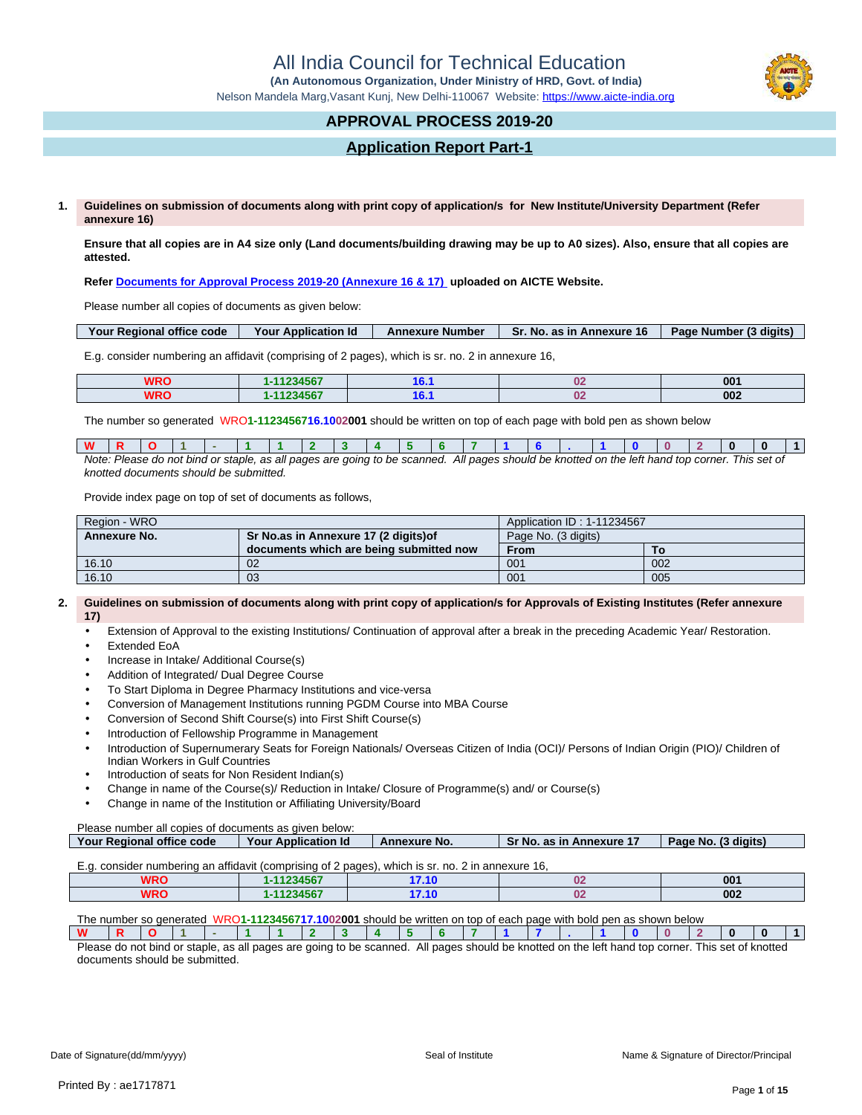All India Council for Technical Education

 **(An Autonomous Organization, Under Ministry of HRD, Govt. of India)**

Nelson Mandela Marg,Vasant Kunj, New Delhi-110067 Website: https://www.aicte-india.org

## **APPROVAL PROCESS 2019-20**

## **Application Report Part-1**

**1. Guidelines on submission of documents along with print copy of application/s for New Institute/University Department (Refer annexure 16)**

**Ensure that all copies are in A4 size only (Land documents/building drawing may be up to A0 sizes). Also, ensure that all copies are attested.**

**Refer Documents for Approval Process 2019-20 (Annexure 16 & 17) uploaded on AICTE Website.**

Please number all copies of documents as given below:

| Your Regional office code | Your Application Id | <b>Annexure Number</b> | <b>Sr. No. as in Annexure 16</b> | Page Number (3 digits) |
|---------------------------|---------------------|------------------------|----------------------------------|------------------------|
|                           |                     |                        |                                  |                        |

E.g. consider numbering an affidavit (comprising of 2 pages), which is sr. no. 2 in annexure 16,

| <b>WRO</b> | 1234567 | $\sim$    | 001 |
|------------|---------|-----------|-----|
| WRO        | 1234567 | ~~<br>. . | 002 |

The number so generated WRO**1-1123456716.1002001** should be written on top of each page with bold pen as shown below

| <b>W</b> |                                        |  |  |  |  |  |  |  |  |  |                                                                                                                                                |  |  |  |  |  |
|----------|----------------------------------------|--|--|--|--|--|--|--|--|--|------------------------------------------------------------------------------------------------------------------------------------------------|--|--|--|--|--|
|          |                                        |  |  |  |  |  |  |  |  |  | Note: Please do not bind or staple, as all pages are going to be scanned. All pages should be knotted on the left hand top corner. This set of |  |  |  |  |  |
|          | knotted documents should be submitted. |  |  |  |  |  |  |  |  |  |                                                                                                                                                |  |  |  |  |  |

Provide index page on top of set of documents as follows,

| Region - WRO |                                         | Application ID: 1-11234567 |     |  |  |  |
|--------------|-----------------------------------------|----------------------------|-----|--|--|--|
| Annexure No. | Sr No.as in Annexure 17 (2 digits) of   | Page No. (3 digits)        |     |  |  |  |
|              | documents which are being submitted now | From                       | То  |  |  |  |
| 16.10        | 02                                      | 001                        | 002 |  |  |  |
| 16.10        | 03                                      | 001                        | 005 |  |  |  |

#### **2. Guidelines on submission of documents along with print copy of application/s for Approvals of Existing Institutes (Refer annexure 17)**

- Extension of Approval to the existing Institutions/ Continuation of approval after a break in the preceding Academic Year/ Restoration.
- Extended EoA
- Increase in Intake/ Additional Course(s)
- Addition of Integrated/ Dual Degree Course
- To Start Diploma in Degree Pharmacy Institutions and vice-versa
- Conversion of Management Institutions running PGDM Course into MBA Course
- Conversion of Second Shift Course(s) into First Shift Course(s)
- Introduction of Fellowship Programme in Management
- Introduction of Supernumerary Seats for Foreign Nationals/ Overseas Citizen of India (OCI)/ Persons of Indian Origin (PIO)/ Children of Indian Workers in Gulf Countries
- Introduction of seats for Non Resident Indian(s)
- Change in name of the Course(s)/ Reduction in Intake/ Closure of Programme(s) and/ or Course(s)
- Change in name of the Institution or Affiliating University/Board

Please number all copies of documents as given below:

| Your Regional office code                                                                     | Your Application Id | <b>Annexure No.</b> | <b>Sr No. as in Annexure 17</b> | Page No. (3 digits) |
|-----------------------------------------------------------------------------------------------|---------------------|---------------------|---------------------------------|---------------------|
|                                                                                               |                     |                     |                                 |                     |
| $E_a$ consider numbering an affidavit (comprising of 2 pages) which is st no 2 in annexure 16 |                     |                     |                                 |                     |

| L.G. Consider Hamberling an amaavit (comprising or Z pages), which is si. Ho. Z in annexure To, |           |                                   |  |     |  |  |  |  |
|-------------------------------------------------------------------------------------------------|-----------|-----------------------------------|--|-----|--|--|--|--|
| <b>WRO</b>                                                                                      | -11234567 | 1740<br>7. IV                     |  | 001 |  |  |  |  |
| <b>WRO</b>                                                                                      | -11234567 | 7.40<br><i><b><i>I</i></b>.IL</i> |  | 002 |  |  |  |  |

The number so generated WRO**1-1123456717.1002001** should be written on top of each page with bold pen as shown below

| W                                                                                                                              |  |  |  |  |  |  |  |  |  |                       |  |
|--------------------------------------------------------------------------------------------------------------------------------|--|--|--|--|--|--|--|--|--|-----------------------|--|
| Please do not bind or staple, as all pages are going to be scanned. All pages should be knotted on the left hand top corner. 7 |  |  |  |  |  |  |  |  |  | . This set of knottec |  |

documents should be submitted.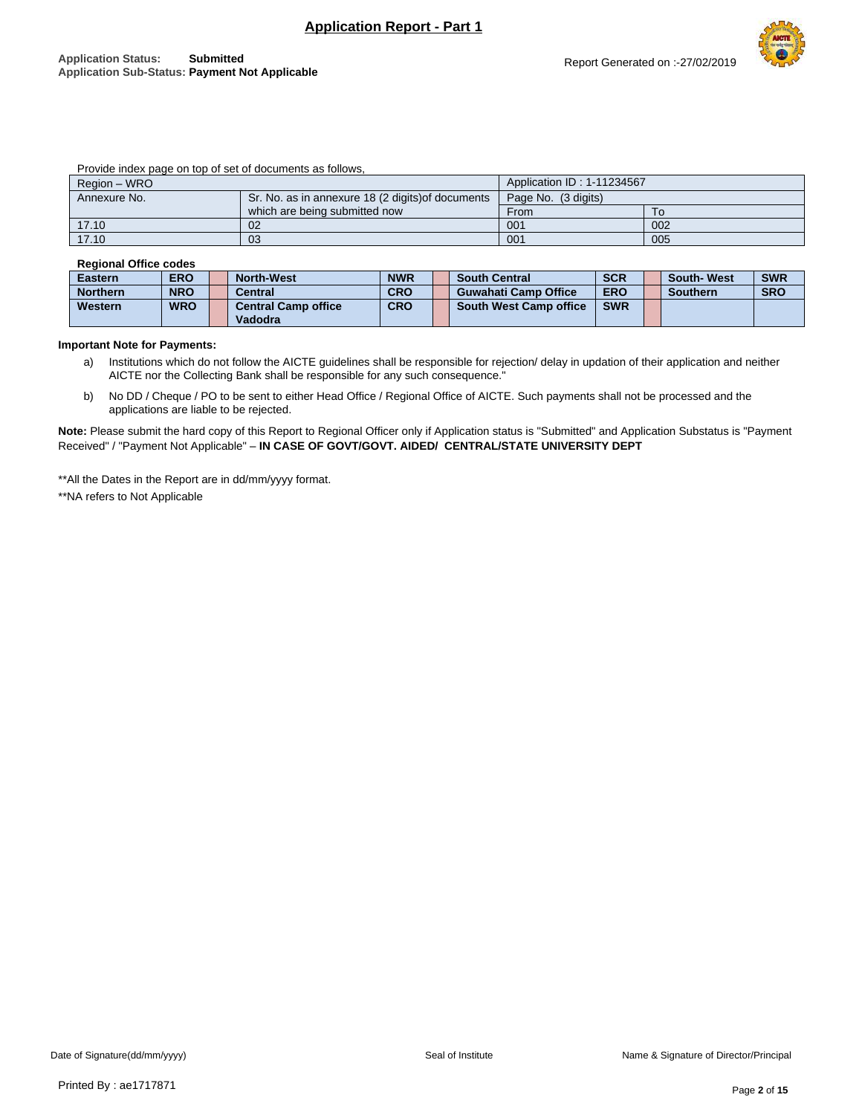# Report Generated on :-27/02/2019

#### Provide index page on top of set of documents as follows,

| Region – WRO |                                                   | Application ID: 1-11234567 |     |
|--------------|---------------------------------------------------|----------------------------|-----|
| Annexure No. | Sr. No. as in annexure 18 (2 digits) of documents | Page No. (3 digits)        |     |
|              | which are being submitted now                     | From                       |     |
| 17.10        | 02                                                | 001                        | 002 |
| 17.10        | 03                                                | 001                        | 005 |

#### **Regional Office codes**

| <b>Eastern</b>  | <b>ERO</b> | <b>North-West</b>                     | <b>NWR</b> | <b>South Central</b>          | <b>SCR</b> | <b>South-West</b> | <b>SWR</b> |
|-----------------|------------|---------------------------------------|------------|-------------------------------|------------|-------------------|------------|
| <b>Northern</b> | <b>NRO</b> | <b>Central</b>                        | <b>CRO</b> | <b>Guwahati Camp Office</b>   | <b>ERO</b> | <b>Southern</b>   | <b>SRO</b> |
| Western         | <b>WRO</b> | <b>Central Camp office</b><br>Vadodra | <b>CRO</b> | <b>South West Camp office</b> | <b>SWR</b> |                   |            |

#### **Important Note for Payments:**

- a) Institutions which do not follow the AICTE guidelines shall be responsible for rejection/ delay in updation of their application and neither AICTE nor the Collecting Bank shall be responsible for any such consequence."
- b) No DD / Cheque / PO to be sent to either Head Office / Regional Office of AICTE. Such payments shall not be processed and the applications are liable to be rejected.

**Note:** Please submit the hard copy of this Report to Regional Officer only if Application status is "Submitted" and Application Substatus is "Payment Received" / "Payment Not Applicable" – **IN CASE OF GOVT/GOVT. AIDED/ CENTRAL/STATE UNIVERSITY DEPT**

\*\*All the Dates in the Report are in dd/mm/yyyy format.

\*\*NA refers to Not Applicable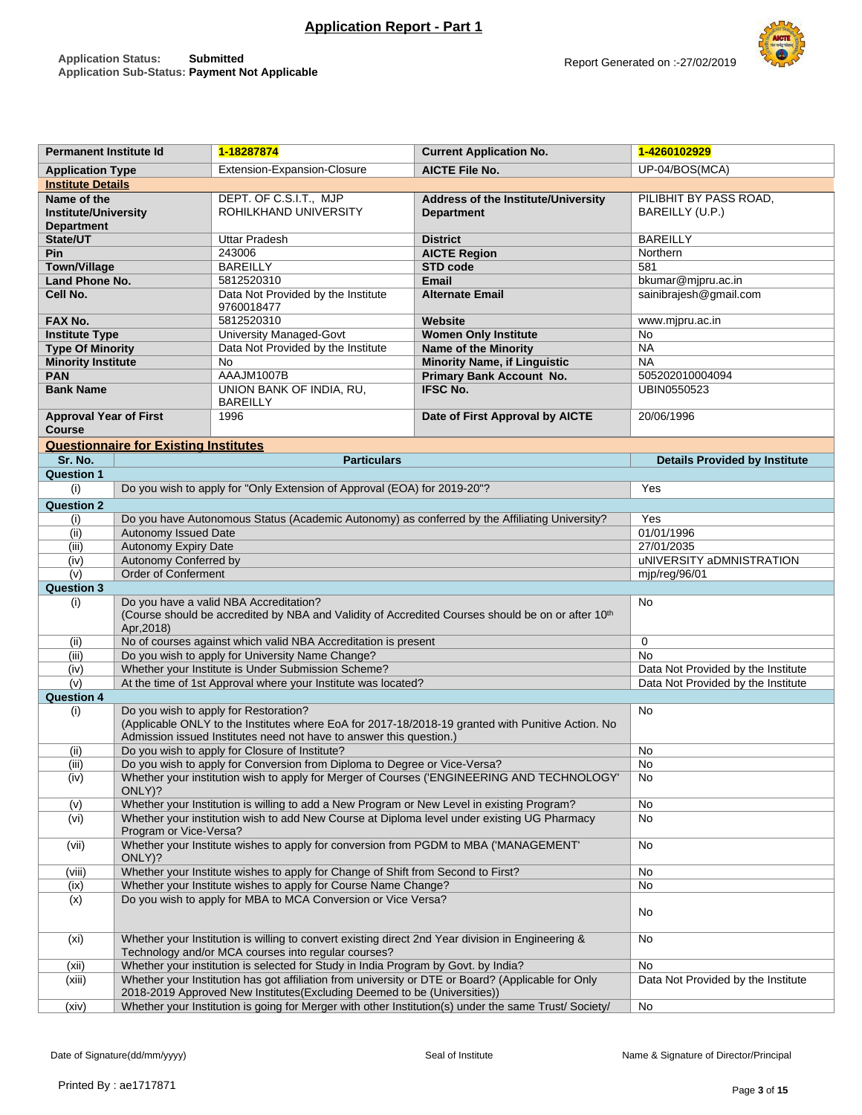| <b>Permanent Institute Id</b> |                                              | 1-18287874                                                                                                                                               | <b>Current Application No.</b>                                                                       | 1-4260102929                         |  |  |  |
|-------------------------------|----------------------------------------------|----------------------------------------------------------------------------------------------------------------------------------------------------------|------------------------------------------------------------------------------------------------------|--------------------------------------|--|--|--|
| <b>Application Type</b>       |                                              | Extension-Expansion-Closure                                                                                                                              | <b>AICTE File No.</b>                                                                                | UP-04/BOS(MCA)                       |  |  |  |
| <b>Institute Details</b>      |                                              |                                                                                                                                                          |                                                                                                      |                                      |  |  |  |
| Name of the                   |                                              | DEPT. OF C.S.I.T., MJP                                                                                                                                   | <b>Address of the Institute/University</b>                                                           | PILIBHIT BY PASS ROAD,               |  |  |  |
| <b>Institute/University</b>   |                                              | ROHILKHAND UNIVERSITY                                                                                                                                    | <b>Department</b>                                                                                    | BAREILLY (U.P.)                      |  |  |  |
| <b>Department</b>             |                                              |                                                                                                                                                          |                                                                                                      |                                      |  |  |  |
| State/UT                      |                                              | Uttar Pradesh                                                                                                                                            | <b>District</b>                                                                                      | <b>BAREILLY</b>                      |  |  |  |
| Pin                           |                                              | 243006                                                                                                                                                   | <b>AICTE Region</b>                                                                                  | Northern                             |  |  |  |
| <b>Town/Village</b>           |                                              | <b>BAREILLY</b>                                                                                                                                          | <b>STD code</b>                                                                                      | 581                                  |  |  |  |
| Land Phone No.                |                                              | 5812520310                                                                                                                                               | <b>Email</b>                                                                                         | bkumar@mjpru.ac.in                   |  |  |  |
| Cell No.                      |                                              | Data Not Provided by the Institute<br>9760018477                                                                                                         | <b>Alternate Email</b>                                                                               | sainibrajesh@gmail.com               |  |  |  |
| FAX No.                       |                                              | 5812520310                                                                                                                                               | Website                                                                                              | www.mjpru.ac.in                      |  |  |  |
| <b>Institute Type</b>         |                                              | <b>University Managed-Govt</b>                                                                                                                           | <b>Women Only Institute</b>                                                                          | No                                   |  |  |  |
| <b>Type Of Minority</b>       |                                              | Data Not Provided by the Institute                                                                                                                       | Name of the Minority                                                                                 | <b>NA</b>                            |  |  |  |
| <b>Minority Institute</b>     |                                              | No                                                                                                                                                       | <b>Minority Name, if Linguistic</b>                                                                  | <b>NA</b>                            |  |  |  |
| <b>PAN</b>                    |                                              | AAAJM1007B                                                                                                                                               | 505202010004094                                                                                      |                                      |  |  |  |
| <b>Bank Name</b>              |                                              | UNION BANK OF INDIA, RU,                                                                                                                                 | <b>Primary Bank Account No.</b><br><b>IFSC No.</b>                                                   | UBIN0550523                          |  |  |  |
|                               |                                              | <b>BAREILLY</b>                                                                                                                                          |                                                                                                      |                                      |  |  |  |
| <b>Approval Year of First</b> |                                              | Date of First Approval by AICTE                                                                                                                          | 20/06/1996                                                                                           |                                      |  |  |  |
| <b>Course</b>                 |                                              |                                                                                                                                                          |                                                                                                      |                                      |  |  |  |
|                               | <b>Questionnaire for Existing Institutes</b> |                                                                                                                                                          |                                                                                                      |                                      |  |  |  |
| Sr. No.                       |                                              | <b>Particulars</b>                                                                                                                                       |                                                                                                      | <b>Details Provided by Institute</b> |  |  |  |
| <b>Question 1</b>             |                                              |                                                                                                                                                          |                                                                                                      |                                      |  |  |  |
| (i)                           |                                              | Do you wish to apply for "Only Extension of Approval (EOA) for 2019-20"?                                                                                 | Yes                                                                                                  |                                      |  |  |  |
| <b>Question 2</b>             |                                              | Do you have Autonomous Status (Academic Autonomy) as conferred by the Affiliating University?                                                            |                                                                                                      |                                      |  |  |  |
| (i)                           | <b>Autonomy Issued Date</b>                  | Yes                                                                                                                                                      |                                                                                                      |                                      |  |  |  |
| (ii)<br>(iii)                 | Autonomy Expiry Date                         | 01/01/1996<br>27/01/2035                                                                                                                                 |                                                                                                      |                                      |  |  |  |
| (iv)                          | Autonomy Conferred by                        |                                                                                                                                                          |                                                                                                      | uNIVERSITY aDMNISTRATION             |  |  |  |
| (v)                           | Order of Conferment                          | mjp/reg/96/01                                                                                                                                            |                                                                                                      |                                      |  |  |  |
| <b>Question 3</b>             |                                              |                                                                                                                                                          |                                                                                                      |                                      |  |  |  |
| (i)                           |                                              | Do you have a valid NBA Accreditation?                                                                                                                   |                                                                                                      | No                                   |  |  |  |
|                               |                                              |                                                                                                                                                          | (Course should be accredited by NBA and Validity of Accredited Courses should be on or after 10th    |                                      |  |  |  |
|                               | Apr, 2018)                                   |                                                                                                                                                          |                                                                                                      |                                      |  |  |  |
| (ii)                          |                                              | No of courses against which valid NBA Accreditation is present                                                                                           |                                                                                                      | $\mathbf 0$                          |  |  |  |
| (iii)                         |                                              | Do you wish to apply for University Name Change?                                                                                                         |                                                                                                      | <b>No</b>                            |  |  |  |
| (iv)                          |                                              | Whether your Institute is Under Submission Scheme?                                                                                                       |                                                                                                      | Data Not Provided by the Institute   |  |  |  |
| (v)                           |                                              | At the time of 1st Approval where your Institute was located?                                                                                            |                                                                                                      | Data Not Provided by the Institute   |  |  |  |
| <b>Question 4</b>             |                                              |                                                                                                                                                          |                                                                                                      |                                      |  |  |  |
| (i)                           |                                              | Do you wish to apply for Restoration?                                                                                                                    |                                                                                                      | No                                   |  |  |  |
|                               |                                              |                                                                                                                                                          | (Applicable ONLY to the Institutes where EoA for 2017-18/2018-19 granted with Punitive Action. No    |                                      |  |  |  |
| (ii)                          |                                              | Admission issued Institutes need not have to answer this question.)<br>Do you wish to apply for Closure of Institute?                                    |                                                                                                      | No                                   |  |  |  |
| (iii)                         |                                              | Do you wish to apply for Conversion from Diploma to Degree or Vice-Versa?                                                                                |                                                                                                      | No                                   |  |  |  |
| (iv)                          |                                              |                                                                                                                                                          | Whether your institution wish to apply for Merger of Courses ('ENGINEERING AND TECHNOLOGY'           | No                                   |  |  |  |
|                               | ONLY)?                                       |                                                                                                                                                          |                                                                                                      |                                      |  |  |  |
| (v)                           |                                              | Whether your Institution is willing to add a New Program or New Level in existing Program?                                                               |                                                                                                      | No                                   |  |  |  |
| (vi)                          |                                              | Whether your institution wish to add New Course at Diploma level under existing UG Pharmacy                                                              |                                                                                                      | No                                   |  |  |  |
| (vii)                         | Program or Vice-Versa?                       | Whether your Institute wishes to apply for conversion from PGDM to MBA ('MANAGEMENT'                                                                     |                                                                                                      | No                                   |  |  |  |
|                               | ONLY)?                                       |                                                                                                                                                          |                                                                                                      |                                      |  |  |  |
| (viii)                        |                                              | Whether your Institute wishes to apply for Change of Shift from Second to First?                                                                         | No                                                                                                   |                                      |  |  |  |
| (ix)                          |                                              | Whether your Institute wishes to apply for Course Name Change?                                                                                           | No                                                                                                   |                                      |  |  |  |
| (x)                           |                                              | Do you wish to apply for MBA to MCA Conversion or Vice Versa?                                                                                            |                                                                                                      | No                                   |  |  |  |
| (xi)                          |                                              | Whether your Institution is willing to convert existing direct 2nd Year division in Engineering &<br>Technology and/or MCA courses into regular courses? |                                                                                                      | No                                   |  |  |  |
| (xii)                         |                                              | Whether your institution is selected for Study in India Program by Govt. by India?                                                                       | No                                                                                                   |                                      |  |  |  |
| (xiii)                        |                                              | Whether your Institution has got affiliation from university or DTE or Board? (Applicable for Only                                                       |                                                                                                      | Data Not Provided by the Institute   |  |  |  |
|                               |                                              | 2018-2019 Approved New Institutes(Excluding Deemed to be (Universities))                                                                                 |                                                                                                      |                                      |  |  |  |
| (xiv)                         |                                              |                                                                                                                                                          | Whether your Institution is going for Merger with other Institution(s) under the same Trust/Society/ | No                                   |  |  |  |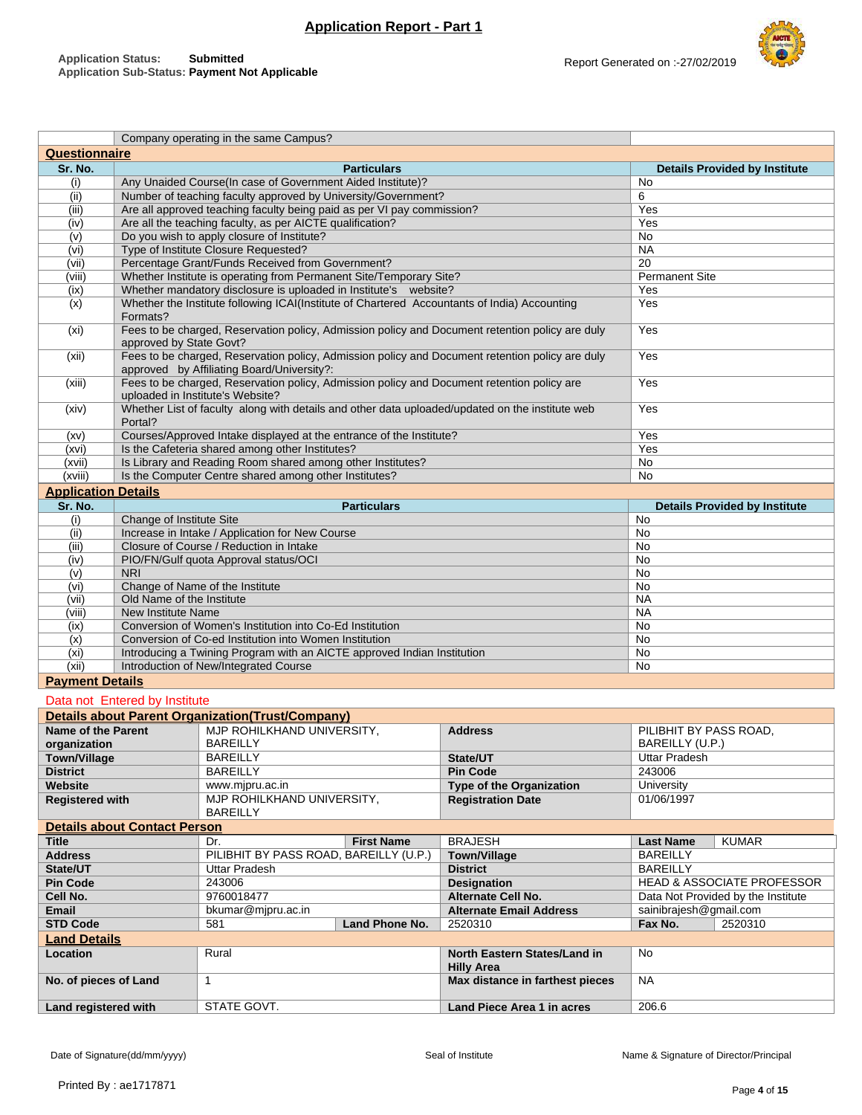

|                            |                                     | Company operating in the same Campus?                                   |                    |                                                                                                 |                                       |  |  |  |
|----------------------------|-------------------------------------|-------------------------------------------------------------------------|--------------------|-------------------------------------------------------------------------------------------------|---------------------------------------|--|--|--|
| <b>Questionnaire</b>       |                                     |                                                                         |                    |                                                                                                 |                                       |  |  |  |
| Sr. No.                    |                                     |                                                                         | <b>Particulars</b> |                                                                                                 | <b>Details Provided by Institute</b>  |  |  |  |
| (i)                        |                                     | Any Unaided Course(In case of Government Aided Institute)?              |                    |                                                                                                 | No                                    |  |  |  |
| (ii)                       |                                     | Number of teaching faculty approved by University/Government?           |                    |                                                                                                 | 6                                     |  |  |  |
| (iii)                      |                                     | Are all approved teaching faculty being paid as per VI pay commission?  |                    |                                                                                                 | Yes                                   |  |  |  |
| (iv)                       |                                     | Are all the teaching faculty, as per AICTE qualification?               |                    |                                                                                                 | Yes                                   |  |  |  |
| (v)                        |                                     | Do you wish to apply closure of Institute?                              |                    |                                                                                                 | No                                    |  |  |  |
| (vi)                       |                                     | Type of Institute Closure Requested?                                    |                    |                                                                                                 | <b>NA</b>                             |  |  |  |
| (vii)                      |                                     | Percentage Grant/Funds Received from Government?                        |                    |                                                                                                 | $\overline{20}$                       |  |  |  |
| (viii)                     |                                     | Whether Institute is operating from Permanent Site/Temporary Site?      |                    |                                                                                                 | <b>Permanent Site</b>                 |  |  |  |
| (ix)                       |                                     | Whether mandatory disclosure is uploaded in Institute's website?        |                    |                                                                                                 | Yes                                   |  |  |  |
| (x)                        |                                     |                                                                         |                    | Whether the Institute following ICAI(Institute of Chartered Accountants of India) Accounting    | Yes                                   |  |  |  |
|                            | Formats?                            |                                                                         |                    |                                                                                                 |                                       |  |  |  |
| (x <sub>i</sub> )          |                                     |                                                                         |                    | Fees to be charged, Reservation policy, Admission policy and Document retention policy are duly | Yes                                   |  |  |  |
|                            | approved by State Govt?             |                                                                         |                    |                                                                                                 |                                       |  |  |  |
| (xii)                      |                                     |                                                                         |                    | Fees to be charged, Reservation policy, Admission policy and Document retention policy are duly | Yes                                   |  |  |  |
|                            |                                     | approved by Affiliating Board/University?:                              |                    |                                                                                                 |                                       |  |  |  |
| (xiii)                     |                                     |                                                                         |                    | Fees to be charged, Reservation policy, Admission policy and Document retention policy are      | Yes                                   |  |  |  |
|                            |                                     | uploaded in Institute's Website?                                        |                    |                                                                                                 |                                       |  |  |  |
| (xiv)                      |                                     |                                                                         |                    | Whether List of faculty along with details and other data uploaded/updated on the institute web | Yes                                   |  |  |  |
|                            | Portal?                             |                                                                         |                    |                                                                                                 |                                       |  |  |  |
| (xv)                       |                                     | Courses/Approved Intake displayed at the entrance of the Institute?     |                    |                                                                                                 | Yes                                   |  |  |  |
| (xvi)                      |                                     | Is the Cafeteria shared among other Institutes?                         |                    |                                                                                                 | Yes                                   |  |  |  |
| (xvii)                     |                                     | Is Library and Reading Room shared among other Institutes?              |                    |                                                                                                 | No                                    |  |  |  |
| (xviii)                    |                                     | Is the Computer Centre shared among other Institutes?                   |                    |                                                                                                 | <b>No</b>                             |  |  |  |
| <b>Application Details</b> |                                     |                                                                         |                    |                                                                                                 |                                       |  |  |  |
| Sr. No.                    |                                     |                                                                         | <b>Particulars</b> |                                                                                                 | <b>Details Provided by Institute</b>  |  |  |  |
| (i)                        | Change of Institute Site            |                                                                         |                    |                                                                                                 | No                                    |  |  |  |
| (ii)                       |                                     | Increase in Intake / Application for New Course                         |                    |                                                                                                 | No                                    |  |  |  |
| (iii)                      |                                     | Closure of Course / Reduction in Intake                                 |                    |                                                                                                 | No                                    |  |  |  |
| (iv)                       |                                     | PIO/FN/Gulf quota Approval status/OCI                                   |                    |                                                                                                 | No                                    |  |  |  |
| (v)                        | <b>NRI</b>                          |                                                                         |                    |                                                                                                 | No                                    |  |  |  |
| (vi)                       |                                     | Change of Name of the Institute                                         |                    |                                                                                                 | No                                    |  |  |  |
| (vii)                      | Old Name of the Institute           |                                                                         |                    |                                                                                                 | <b>NA</b>                             |  |  |  |
| (viii)                     | New Institute Name                  |                                                                         |                    |                                                                                                 | <b>NA</b>                             |  |  |  |
| (ix)                       |                                     | Conversion of Women's Institution into Co-Ed Institution                |                    |                                                                                                 | No                                    |  |  |  |
| (x)                        |                                     | Conversion of Co-ed Institution into Women Institution                  |                    |                                                                                                 | No                                    |  |  |  |
| (x <sub>i</sub> )          |                                     | Introducing a Twining Program with an AICTE approved Indian Institution |                    |                                                                                                 | No                                    |  |  |  |
| (xii)                      |                                     | Introduction of New/Integrated Course                                   |                    |                                                                                                 | No                                    |  |  |  |
| <b>Payment Details</b>     |                                     |                                                                         |                    |                                                                                                 |                                       |  |  |  |
|                            |                                     |                                                                         |                    |                                                                                                 |                                       |  |  |  |
|                            | Data not Entered by Institute       |                                                                         |                    |                                                                                                 |                                       |  |  |  |
|                            |                                     | <b>Details about Parent Organization (Trust/Company)</b>                |                    |                                                                                                 |                                       |  |  |  |
| Name of the Parent         |                                     | MJP ROHILKHAND UNIVERSITY,                                              |                    | <b>Address</b>                                                                                  | PILIBHIT BY PASS ROAD,                |  |  |  |
| organization               |                                     | <b>BAREILLY</b>                                                         |                    |                                                                                                 | BAREILLY (U.P.)                       |  |  |  |
| <b>Town/Village</b>        |                                     | <b>BAREILLY</b>                                                         |                    | State/UT                                                                                        | <b>Uttar Pradesh</b>                  |  |  |  |
| <b>District</b>            |                                     | <b>BAREILLY</b>                                                         |                    | <b>Pin Code</b>                                                                                 | 243006                                |  |  |  |
| <b>Website</b>             |                                     | www.mjpru.ac.in                                                         |                    | Type of the Organization                                                                        | University                            |  |  |  |
| <b>Registered with</b>     |                                     | MJP ROHILKHAND UNIVERSITY,                                              |                    | <b>Registration Date</b>                                                                        | 01/06/1997                            |  |  |  |
|                            |                                     | <b>BAREILLY</b>                                                         |                    |                                                                                                 |                                       |  |  |  |
|                            | <b>Details about Contact Person</b> |                                                                         |                    |                                                                                                 |                                       |  |  |  |
| <b>Title</b>               |                                     | Dr.                                                                     | <b>First Name</b>  | <b>BRAJESH</b>                                                                                  | <b>KUMAR</b><br><b>Last Name</b>      |  |  |  |
| <b>Address</b>             |                                     | PILIBHIT BY PASS ROAD, BAREILLY (U.P.)                                  |                    | <b>Town/Village</b>                                                                             | <b>BAREILLY</b>                       |  |  |  |
| State/UT                   |                                     | Uttar Pradesh                                                           |                    | <b>District</b>                                                                                 | <b>BAREILLY</b>                       |  |  |  |
| <b>Pin Code</b>            |                                     | 243006                                                                  |                    | <b>Designation</b>                                                                              | <b>HEAD &amp; ASSOCIATE PROFESSOR</b> |  |  |  |
| Cell No.                   |                                     | 9760018477                                                              |                    | Alternate Cell No.                                                                              | Data Not Provided by the Institute    |  |  |  |
| Email                      |                                     | bkumar@mjpru.ac.in                                                      |                    | <b>Alternate Email Address</b>                                                                  | sainibrajesh@gmail.com                |  |  |  |
| <b>STD Code</b>            |                                     | 581                                                                     | Land Phone No.     | 2520310                                                                                         | Fax No.<br>2520310                    |  |  |  |
| <b>Land Details</b>        |                                     |                                                                         |                    |                                                                                                 |                                       |  |  |  |
| Location                   |                                     | Rural                                                                   |                    | North Eastern States/Land in                                                                    | No                                    |  |  |  |
|                            |                                     |                                                                         |                    | <b>Hilly Area</b>                                                                               |                                       |  |  |  |
| No. of pieces of Land      |                                     | $\mathbf{1}$                                                            |                    | <b>NA</b><br>Max distance in farthest pieces                                                    |                                       |  |  |  |
|                            |                                     |                                                                         |                    |                                                                                                 |                                       |  |  |  |
| Land registered with       |                                     | STATE GOVT.                                                             |                    | Land Piece Area 1 in acres                                                                      | 206.6                                 |  |  |  |
|                            |                                     |                                                                         |                    |                                                                                                 |                                       |  |  |  |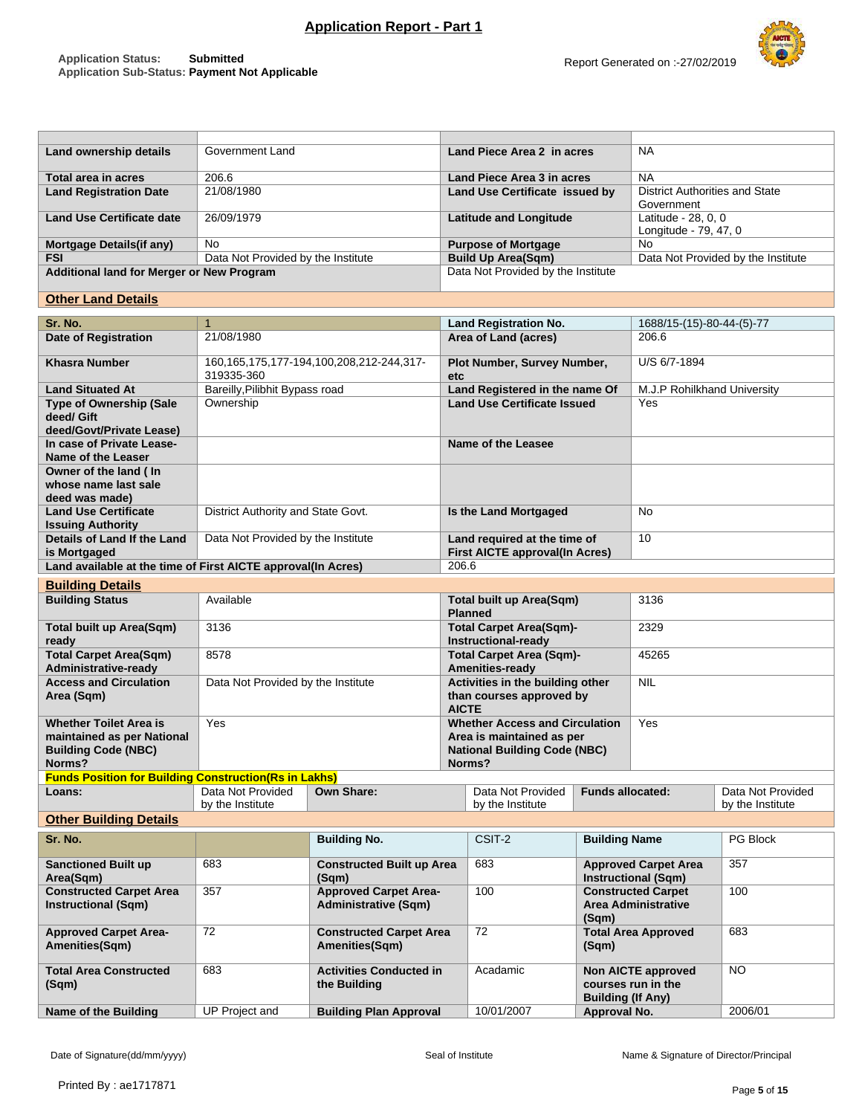| Land ownership details                    | Government Land                    | Land Piece Area 2 in acres         | <b>NA</b>                             |
|-------------------------------------------|------------------------------------|------------------------------------|---------------------------------------|
| Total area in acres                       | 206.6                              | Land Piece Area 3 in acres         | <b>NA</b>                             |
|                                           |                                    |                                    |                                       |
| <b>Land Registration Date</b>             | 21/08/1980                         | Land Use Certificate issued by     | <b>District Authorities and State</b> |
|                                           |                                    |                                    | Government                            |
| <b>Land Use Certificate date</b>          | 26/09/1979                         | <b>Latitude and Longitude</b>      | Latitude - 28, 0, 0                   |
|                                           |                                    |                                    | Longitude - 79, 47, 0                 |
| <b>Mortgage Details (if any)</b>          | No.                                | <b>Purpose of Mortgage</b>         | No.                                   |
| <b>FSI</b>                                | Data Not Provided by the Institute | <b>Build Up Area(Sqm)</b>          | Data Not Provided by the Institute    |
| Additional land for Merger or New Program |                                    | Data Not Provided by the Institute |                                       |
|                                           |                                    |                                    |                                       |

## **Other Land Details**

| Sr. No.                                                                                             | $\mathbf{1}$                          |                                                             |                                                                                                                     | <b>Land Registration No.</b>                                          |                                                                             | 1688/15-(15)-80-44-(5)-77                                 |                                       |
|-----------------------------------------------------------------------------------------------------|---------------------------------------|-------------------------------------------------------------|---------------------------------------------------------------------------------------------------------------------|-----------------------------------------------------------------------|-----------------------------------------------------------------------------|-----------------------------------------------------------|---------------------------------------|
| <b>Date of Registration</b>                                                                         | 21/08/1980                            |                                                             |                                                                                                                     | Area of Land (acres)                                                  |                                                                             | 206.6                                                     |                                       |
| <b>Khasra Number</b>                                                                                | 319335-360                            | 160,165,175,177-194,100,208,212-244,317-                    | etc.                                                                                                                | Plot Number, Survey Number,                                           |                                                                             | U/S 6/7-1894                                              |                                       |
| <b>Land Situated At</b>                                                                             | Bareilly, Pilibhit Bypass road        |                                                             |                                                                                                                     | Land Registered in the name Of                                        |                                                                             | M.J.P Rohilkhand University                               |                                       |
| <b>Type of Ownership (Sale</b><br>deed/ Gift<br>deed/Govt/Private Lease)                            | Ownership                             |                                                             |                                                                                                                     | <b>Land Use Certificate Issued</b>                                    |                                                                             | Yes                                                       |                                       |
| In case of Private Lease-<br>Name of the Leaser                                                     |                                       |                                                             | <b>Name of the Leasee</b>                                                                                           |                                                                       |                                                                             |                                                           |                                       |
| Owner of the land (In<br>whose name last sale<br>deed was made)                                     |                                       |                                                             |                                                                                                                     |                                                                       |                                                                             |                                                           |                                       |
| <b>Land Use Certificate</b><br><b>Issuing Authority</b>                                             | District Authority and State Govt.    |                                                             |                                                                                                                     | Is the Land Mortgaged                                                 |                                                                             | No                                                        |                                       |
| Details of Land If the Land<br>is Mortgaged                                                         | Data Not Provided by the Institute    |                                                             |                                                                                                                     | Land required at the time of<br><b>First AICTE approval(In Acres)</b> |                                                                             | 10                                                        |                                       |
| Land available at the time of First AICTE approval(In Acres)                                        |                                       |                                                             | 206.6                                                                                                               |                                                                       |                                                                             |                                                           |                                       |
| <b>Building Details</b>                                                                             |                                       |                                                             |                                                                                                                     |                                                                       |                                                                             |                                                           |                                       |
| <b>Building Status</b>                                                                              | Available                             |                                                             |                                                                                                                     |                                                                       | <b>Total built up Area(Sqm)</b>                                             | 3136                                                      |                                       |
| <b>Total built up Area(Sqm)</b><br>ready                                                            | 3136                                  |                                                             |                                                                                                                     | <b>Total Carpet Area(Sqm)-</b><br>Instructional-ready                 |                                                                             | 2329                                                      |                                       |
| <b>Total Carpet Area(Sqm)</b><br>Administrative-ready                                               | 8578                                  |                                                             |                                                                                                                     | <b>Total Carpet Area (Sqm)-</b><br>Amenities-ready                    |                                                                             | 45265                                                     |                                       |
| <b>Access and Circulation</b><br>Area (Sqm)                                                         | Data Not Provided by the Institute    |                                                             | Activities in the building other<br>than courses approved by<br><b>AICTE</b>                                        |                                                                       |                                                                             | <b>NIL</b>                                                |                                       |
| <b>Whether Toilet Area is</b><br>maintained as per National<br><b>Building Code (NBC)</b><br>Norms? | Yes                                   |                                                             | <b>Whether Access and Circulation</b><br>Area is maintained as per<br><b>National Building Code (NBC)</b><br>Norms? |                                                                       |                                                                             | Yes                                                       |                                       |
| <b>Funds Position for Building Construction (Rs in Lakhs)</b>                                       |                                       |                                                             |                                                                                                                     |                                                                       |                                                                             |                                                           |                                       |
| Loans:                                                                                              | Data Not Provided<br>by the Institute | Own Share:                                                  |                                                                                                                     | Data Not Provided<br>by the Institute                                 | <b>Funds allocated:</b>                                                     |                                                           | Data Not Provided<br>by the Institute |
| <b>Other Building Details</b>                                                                       |                                       |                                                             |                                                                                                                     |                                                                       |                                                                             |                                                           |                                       |
| Sr. No.                                                                                             |                                       | <b>Building No.</b>                                         |                                                                                                                     | CSIT-2                                                                | <b>Building Name</b>                                                        |                                                           | <b>PG Block</b>                       |
| <b>Sanctioned Built up</b><br>Area(Sqm)                                                             | 683                                   | <b>Constructed Built up Area</b><br>(Sqm)                   |                                                                                                                     | 683                                                                   |                                                                             | <b>Approved Carpet Area</b><br><b>Instructional (Sqm)</b> | 357                                   |
| <b>Constructed Carpet Area</b><br><b>Instructional (Sqm)</b>                                        | 357                                   | <b>Approved Carpet Area-</b><br><b>Administrative (Sqm)</b> |                                                                                                                     | 100                                                                   | (Sqm)                                                                       | <b>Constructed Carpet</b><br><b>Area Administrative</b>   | 100                                   |
| <b>Approved Carpet Area-</b><br>Amenities(Sqm)                                                      | 72                                    | <b>Constructed Carpet Area</b><br>Amenities(Sqm)            |                                                                                                                     | 72                                                                    | (Sqm)                                                                       | <b>Total Area Approved</b>                                | 683                                   |
| <b>Total Area Constructed</b><br>(Sqm)                                                              | 683                                   | <b>Activities Conducted in</b><br>the Building              |                                                                                                                     | Acadamic                                                              | <b>Non AICTE approved</b><br>courses run in the<br><b>Building (If Any)</b> |                                                           | <b>NO</b>                             |
| Name of the Building                                                                                | <b>UP Project and</b>                 | <b>Building Plan Approval</b>                               |                                                                                                                     | 10/01/2007                                                            | Approval No.                                                                |                                                           | 2006/01                               |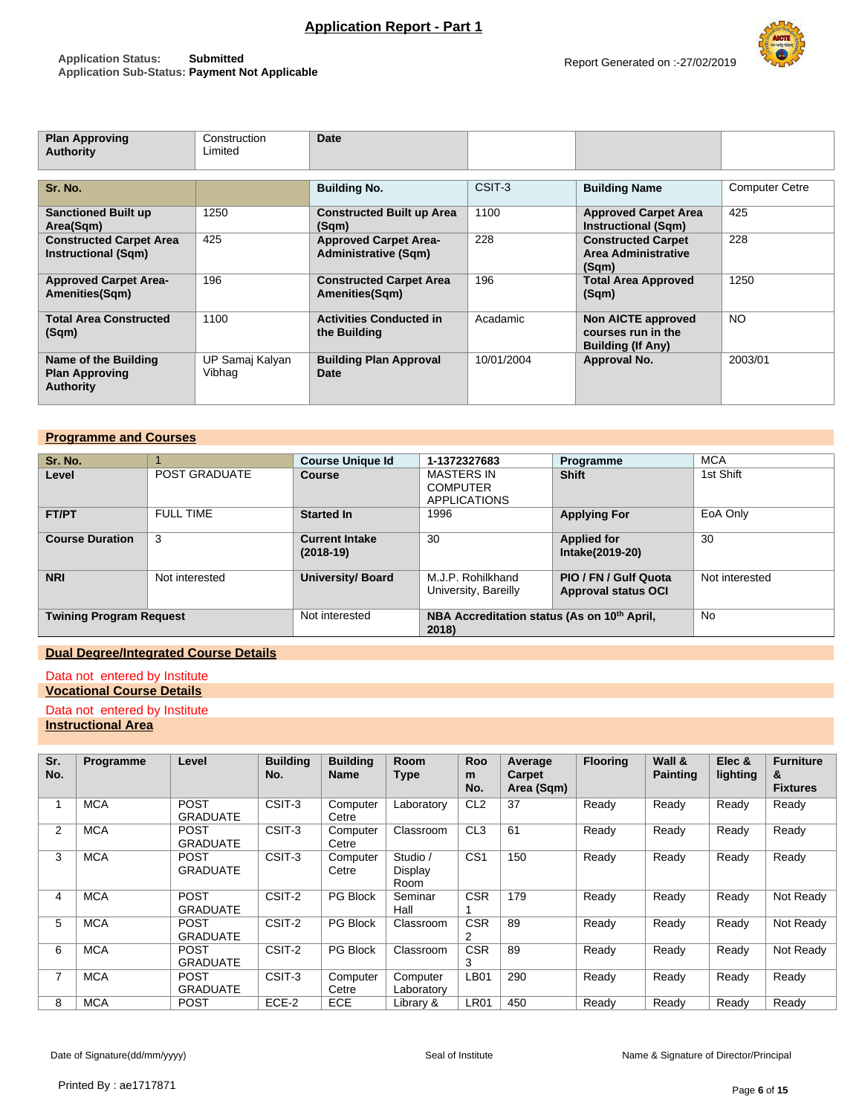

| <b>Plan Approving</b><br>Authority                                | Construction<br>Limited   | Date                                                        |            |                                                                      |                       |
|-------------------------------------------------------------------|---------------------------|-------------------------------------------------------------|------------|----------------------------------------------------------------------|-----------------------|
| Sr. No.                                                           |                           | <b>Building No.</b>                                         | CSIT-3     | <b>Building Name</b>                                                 | <b>Computer Cetre</b> |
| <b>Sanctioned Built up</b><br>Area(Sqm)                           | 1250                      | <b>Constructed Built up Area</b><br>(Sqm)                   | 1100       | <b>Approved Carpet Area</b><br>Instructional (Sqm)                   | 425                   |
| <b>Constructed Carpet Area</b><br><b>Instructional (Sqm)</b>      | 425                       | <b>Approved Carpet Area-</b><br><b>Administrative (Sqm)</b> | 228        | <b>Constructed Carpet</b><br>Area Administrative<br>(Sqm)            | 228                   |
| <b>Approved Carpet Area-</b><br>Amenities(Sqm)                    | 196                       | <b>Constructed Carpet Area</b><br>Amenities(Sqm)            | 196        | <b>Total Area Approved</b><br>(Sqm)                                  | 1250                  |
| <b>Total Area Constructed</b><br>(Sqm)                            | 1100                      | <b>Activities Conducted in</b><br>the Building              | Acadamic   | Non AICTE approved<br>courses run in the<br><b>Building (If Any)</b> | <b>NO</b>             |
| Name of the Building<br><b>Plan Approving</b><br><b>Authority</b> | UP Samaj Kalyan<br>Vibhag | <b>Building Plan Approval</b><br>Date                       | 10/01/2004 | Approval No.                                                         | 2003/01               |

## **Programme and Courses**

| Sr. No.                        |                      | <b>Course Unique Id</b>              | 1-1372327683                                                     | Programme                                           | <b>MCA</b>     |
|--------------------------------|----------------------|--------------------------------------|------------------------------------------------------------------|-----------------------------------------------------|----------------|
| Level                          | <b>POST GRADUATE</b> | <b>Course</b>                        | <b>MASTERS IN</b><br><b>COMPUTER</b><br><b>APPLICATIONS</b>      | <b>Shift</b>                                        | 1st Shift      |
| <b>FT/PT</b>                   | <b>FULL TIME</b>     | <b>Started In</b>                    | 1996                                                             | <b>Applying For</b>                                 | EoA Only       |
| <b>Course Duration</b>         | 3                    | <b>Current Intake</b><br>$(2018-19)$ | 30                                                               | <b>Applied for</b><br>Intake(2019-20)               | 30             |
| <b>NRI</b>                     | Not interested       | <b>University/ Board</b>             | M.J.P. Rohilkhand<br>University, Bareilly                        | PIO / FN / Gulf Quota<br><b>Approval status OCI</b> | Not interested |
| <b>Twining Program Request</b> |                      | Not interested                       | NBA Accreditation status (As on 10 <sup>th</sup> April,<br>2018) | <b>No</b>                                           |                |

# **Dual Degree/Integrated Course Details**

## Data not entered by Institute

# **Vocational Course Details**

# Data not entered by Institute

# **Instructional Area**

| Sr.<br>No. | Programme  | Level                          | <b>Building</b><br>No. | <b>Building</b><br><b>Name</b> | <b>Room</b><br><b>Type</b>  | Roo<br>m<br>No.              | Average<br>Carpet<br>Area (Sqm) | <b>Flooring</b> | Wall &<br><b>Painting</b> | Elec &<br>lighting | <b>Furniture</b><br>&<br><b>Fixtures</b> |
|------------|------------|--------------------------------|------------------------|--------------------------------|-----------------------------|------------------------------|---------------------------------|-----------------|---------------------------|--------------------|------------------------------------------|
|            | <b>MCA</b> | <b>POST</b><br><b>GRADUATE</b> | CSIT-3                 | Computer<br>Cetre              | Laboratorv                  | CL <sub>2</sub>              | 37                              | Ready           | Ready                     | Ready              | Ready                                    |
| 2          | <b>MCA</b> | <b>POST</b><br><b>GRADUATE</b> | CSIT-3                 | Computer<br>Cetre              | Classroom                   | CL <sub>3</sub>              | 61                              | Ready           | Ready                     | Ready              | Ready                                    |
| 3          | <b>MCA</b> | <b>POST</b><br><b>GRADUATE</b> | CSIT-3                 | Computer<br>Cetre              | Studio /<br>Display<br>Room | CS <sub>1</sub>              | 150                             | Ready           | Ready                     | Ready              | Ready                                    |
| 4          | <b>MCA</b> | <b>POST</b><br><b>GRADUATE</b> | CSIT-2                 | <b>PG Block</b>                | Seminar<br>Hall             | <b>CSR</b>                   | 179                             | Ready           | Ready                     | Ready              | Not Ready                                |
| 5          | <b>MCA</b> | <b>POST</b><br><b>GRADUATE</b> | CSIT-2                 | PG Block                       | Classroom                   | <b>CSR</b><br>$\overline{2}$ | 89                              | Ready           | Ready                     | Ready              | Not Ready                                |
| 6          | <b>MCA</b> | <b>POST</b><br><b>GRADUATE</b> | CSIT-2                 | <b>PG Block</b>                | Classroom                   | <b>CSR</b><br>3              | 89                              | Ready           | Ready                     | Ready              | Not Ready                                |
| 7          | <b>MCA</b> | <b>POST</b><br><b>GRADUATE</b> | CSIT-3                 | Computer<br>Cetre              | Computer<br>Laboratorv      | LB <sub>01</sub>             | 290                             | Ready           | Ready                     | Ready              | Ready                                    |
| 8          | <b>MCA</b> | <b>POST</b>                    | ECE-2                  | <b>ECE</b>                     | Library &                   | <b>LR01</b>                  | 450                             | Readv           | Ready                     | Ready              | Ready                                    |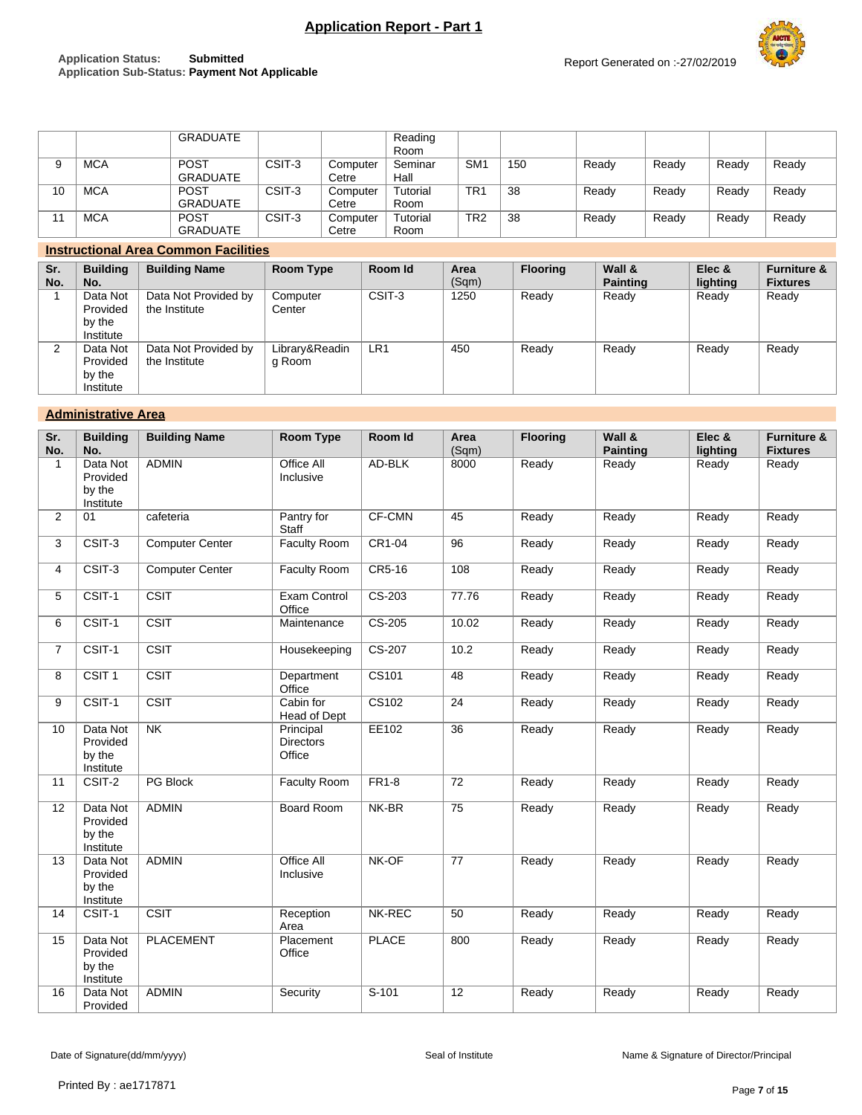## **Application Status: Submitted Application Sub-Status: Payment Not Applicable**



|    |            | GRADUATE    |        |          | Reading  |                 |     |       |       |       |       |
|----|------------|-------------|--------|----------|----------|-----------------|-----|-------|-------|-------|-------|
|    |            |             |        |          | Room     |                 |     |       |       |       |       |
|    | <b>MCA</b> | <b>POST</b> | CSIT-3 | Computer | Seminar  | SM <sub>1</sub> | 150 | Ready | Ready | Ready | Ready |
|    |            | GRADUATE    |        | Cetre    | Hall     |                 |     |       |       |       |       |
| 10 | <b>MCA</b> | <b>POST</b> | CSIT-3 | Computer | Tutorial | TR <sub>1</sub> | 38  | Ready | Ready | Ready | Ready |
|    |            | GRADUATE    |        | Cetre    | Room     |                 |     |       |       |       |       |
|    | <b>MCA</b> | <b>POST</b> | CSIT-3 | Computer | Tutorial | TR <sub>2</sub> | 38  | Ready | Ready | Ready | Ready |
|    |            | GRADUATE    |        | Cetre    | Room     |                 |     |       |       |       |       |

## **Instructional Area Common Facilities**

| Sr.<br>No. | <b>Building</b><br>No.                      | <b>Building Name</b>                  | <b>Room Type</b>         | Room Id | Area<br>(Sqm) | <b>Flooring</b> | Wall &<br><b>Painting</b> | Elec &<br>lighting | <b>Furniture &amp;</b><br><b>Fixtures</b> |
|------------|---------------------------------------------|---------------------------------------|--------------------------|---------|---------------|-----------------|---------------------------|--------------------|-------------------------------------------|
|            | Data Not<br>Provided<br>by the<br>Institute | Data Not Provided by<br>the Institute | Computer<br>Center       | CSIT-3  | 1250          | Ready           | Ready                     | Ready              | Ready                                     |
| ົ          | Data Not<br>Provided<br>by the<br>Institute | Data Not Provided by<br>the Institute | Library&Readin<br>g Room | LR1     | 450           | Ready           | Ready                     | Ready              | Ready                                     |

## **Administrative Area**

| Sr.<br>No.     | <b>Building</b><br>No.                      | <b>Building Name</b>     | <b>Room Type</b>                        | Room Id      | Area<br>(Sqm)   | <b>Flooring</b> | Wall &<br><b>Painting</b> | Elec &<br>lighting | <b>Furniture &amp;</b><br><b>Fixtures</b> |
|----------------|---------------------------------------------|--------------------------|-----------------------------------------|--------------|-----------------|-----------------|---------------------------|--------------------|-------------------------------------------|
| 1              | Data Not<br>Provided<br>by the<br>Institute | <b>ADMIN</b>             | Office All<br>Inclusive                 | AD-BLK       | 8000            | Ready           | Ready                     | Ready              | Ready                                     |
| $\overline{2}$ | 01                                          | cafeteria                | Pantry for<br>Staff                     | CF-CMN       | 45              | Ready           | Ready                     | Ready              | Ready                                     |
| 3              | $CSIT-3$                                    | <b>Computer Center</b>   | <b>Faculty Room</b>                     | CR1-04       | 96              | Ready           | Ready                     | Ready              | Ready                                     |
| 4              | CSIT-3                                      | <b>Computer Center</b>   | <b>Faculty Room</b>                     | CR5-16       | 108             | Ready           | Ready                     | Ready              | Ready                                     |
| 5              | $CSIT-1$                                    | CSIT                     | <b>Exam Control</b><br>Office           | $CS-203$     | 77.76           | Ready           | Ready                     | Ready              | Ready                                     |
| 6              | $CSIT-1$                                    | $\overline{\text{CSIT}}$ | Maintenance                             | $CS-205$     | 10.02           | Ready           | Ready                     | Ready              | Ready                                     |
| 7              | CSIT-1                                      | CSIT                     | Housekeeping                            | $CS-207$     | 10.2            | Ready           | Ready                     | Ready              | Ready                                     |
| 8              | CSIT <sub>1</sub>                           | CSIT                     | Department<br>Office                    | CS101        | 48              | Ready           | Ready                     | Ready              | Ready                                     |
| 9              | CSIT-1                                      | CSIT                     | Cabin for<br>Head of Dept               | <b>CS102</b> | 24              | Ready           | Ready                     | Ready              | Ready                                     |
| 10             | Data Not<br>Provided<br>by the<br>Institute | N <sub>K</sub>           | Principal<br><b>Directors</b><br>Office | EE102        | 36              | Ready           | Ready                     | Ready              | Ready                                     |
| 11             | CSIT-2                                      | PG Block                 | Faculty Room                            | $FR1-8$      | 72              | Ready           | Ready                     | Ready              | Ready                                     |
| 12             | Data Not<br>Provided<br>by the<br>Institute | <b>ADMIN</b>             | <b>Board Room</b>                       | NK-BR        | 75              | Ready           | Ready                     | Ready              | Ready                                     |
| 13             | Data Not<br>Provided<br>by the<br>Institute | <b>ADMIN</b>             | <b>Office All</b><br>Inclusive          | NK-OF        | $\overline{77}$ | Ready           | Ready                     | Ready              | Ready                                     |
| 14             | CSIT-1                                      | CSIT                     | Reception<br>Area                       | NK-REC       | 50              | Ready           | Ready                     | Ready              | Ready                                     |
| 15             | Data Not<br>Provided<br>by the<br>Institute | <b>PLACEMENT</b>         | Placement<br>Office                     | <b>PLACE</b> | 800             | Ready           | Ready                     | Ready              | Ready                                     |
| 16             | Data Not<br>Provided                        | <b>ADMIN</b>             | Security                                | $S-101$      | $\overline{12}$ | Ready           | Ready                     | Ready              | Ready                                     |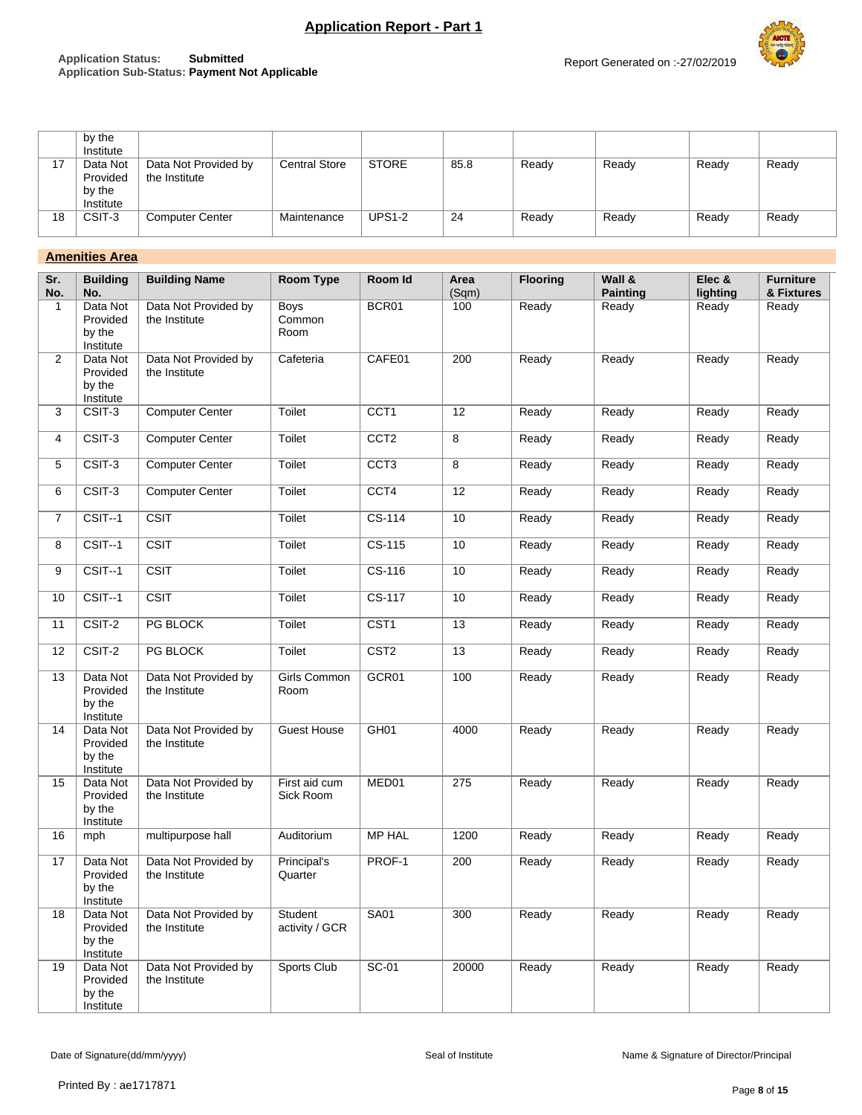## **Application Status: Submitted Application Sub-Status: Payment Not Applicable**



|    | by the<br>Institute                         |                                       |                      |               |      |       |       |       |       |
|----|---------------------------------------------|---------------------------------------|----------------------|---------------|------|-------|-------|-------|-------|
| 17 | Data Not<br>Provided<br>by the<br>Institute | Data Not Provided by<br>the Institute | <b>Central Store</b> | <b>STORE</b>  | 85.8 | Ready | Ready | Ready | Ready |
| 18 | CSIT-3                                      | <b>Computer Center</b>                | Maintenance          | <b>UPS1-2</b> | 24   | Ready | Ready | Ready | Ready |

## **Amenities Area**

| Sr.<br>No.     | <b>Building</b><br>No.                      | <b>Building Name</b>                  | <b>Room Type</b>              | Room Id          | Area<br>(Sqm) | <b>Flooring</b> | Wall &<br><b>Painting</b> | Elec &<br>lighting | <b>Furniture</b><br>& Fixtures |
|----------------|---------------------------------------------|---------------------------------------|-------------------------------|------------------|---------------|-----------------|---------------------------|--------------------|--------------------------------|
| 1              | Data Not<br>Provided<br>by the<br>Institute | Data Not Provided by<br>the Institute | <b>Boys</b><br>Common<br>Room | BCR01            | 100           | Ready           | Ready                     | Ready              | Ready                          |
| $\overline{2}$ | Data Not<br>Provided<br>by the<br>Institute | Data Not Provided by<br>the Institute | Cafeteria                     | CAFE01           | 200           | Ready           | Ready                     | Ready              | Ready                          |
| 3              | CSIT-3                                      | <b>Computer Center</b>                | Toilet                        | CCT1             | 12            | Ready           | Ready                     | Readv              | Ready                          |
| 4              | CSIT-3                                      | <b>Computer Center</b>                | Toilet                        | CCT <sub>2</sub> | 8             | Ready           | Ready                     | Ready              | Ready                          |
| 5              | CSIT-3                                      | <b>Computer Center</b>                | Toilet                        | CCT <sub>3</sub> | 8             | Ready           | Ready                     | Ready              | Ready                          |
| 6              | CSIT-3                                      | <b>Computer Center</b>                | Toilet                        | CCT4             | 12            | Ready           | Ready                     | Ready              | Ready                          |
| $\overline{7}$ | $CSIT-1$                                    | <b>CSIT</b>                           | Toilet                        | CS-114           | 10            | Ready           | Ready                     | Ready              | Ready                          |
| 8              | CSIT--1                                     | <b>CSIT</b>                           | Toilet                        | CS-115           | 10            | Ready           | Ready                     | Ready              | Ready                          |
| 9              | $CSIT-1$                                    | CSIT                                  | Toilet                        | $CS-116$         | 10            | Ready           | Ready                     | Ready              | Ready                          |
| 10             | CSIT--1                                     | <b>CSIT</b>                           | Toilet                        | CS-117           | 10            | Ready           | Ready                     | Ready              | Ready                          |
| 11             | CSIT-2                                      | PG BLOCK                              | Toilet                        | CST <sub>1</sub> | 13            | Ready           | Ready                     | Ready              | Ready                          |
| 12             | $\overline{\text{CSIT-2}}$                  | PG BLOCK                              | Toilet                        | CST <sub>2</sub> | 13            | Ready           | Ready                     | Ready              | Ready                          |
| 13             | Data Not<br>Provided<br>by the<br>Institute | Data Not Provided by<br>the Institute | Girls Common<br>Room          | GCR01            | 100           | Ready           | Ready                     | Ready              | Ready                          |
| 14             | Data Not<br>Provided<br>by the<br>Institute | Data Not Provided by<br>the Institute | <b>Guest House</b>            | GH <sub>01</sub> | 4000          | Ready           | Ready                     | Ready              | Ready                          |
| 15             | Data Not<br>Provided<br>by the<br>Institute | Data Not Provided by<br>the Institute | First aid cum<br>Sick Room    | MED01            | 275           | Ready           | Ready                     | Ready              | Ready                          |
| 16             | mph                                         | multipurpose hall                     | Auditorium                    | <b>MP HAL</b>    | 1200          | Ready           | Ready                     | Ready              | Ready                          |
| 17             | Data Not<br>Provided<br>by the<br>Institute | Data Not Provided by<br>the Institute | Principal's<br>Quarter        | PROF-1           | 200           | Ready           | Ready                     | Ready              | Ready                          |
| 18             | Data Not<br>Provided<br>by the<br>Institute | Data Not Provided by<br>the Institute | Student<br>activity / GCR     | <b>SA01</b>      | 300           | Ready           | Ready                     | Ready              | Ready                          |
| 19             | Data Not<br>Provided<br>by the<br>Institute | Data Not Provided by<br>the Institute | Sports Club                   | $SC-01$          | 20000         | Ready           | Ready                     | Ready              | Ready                          |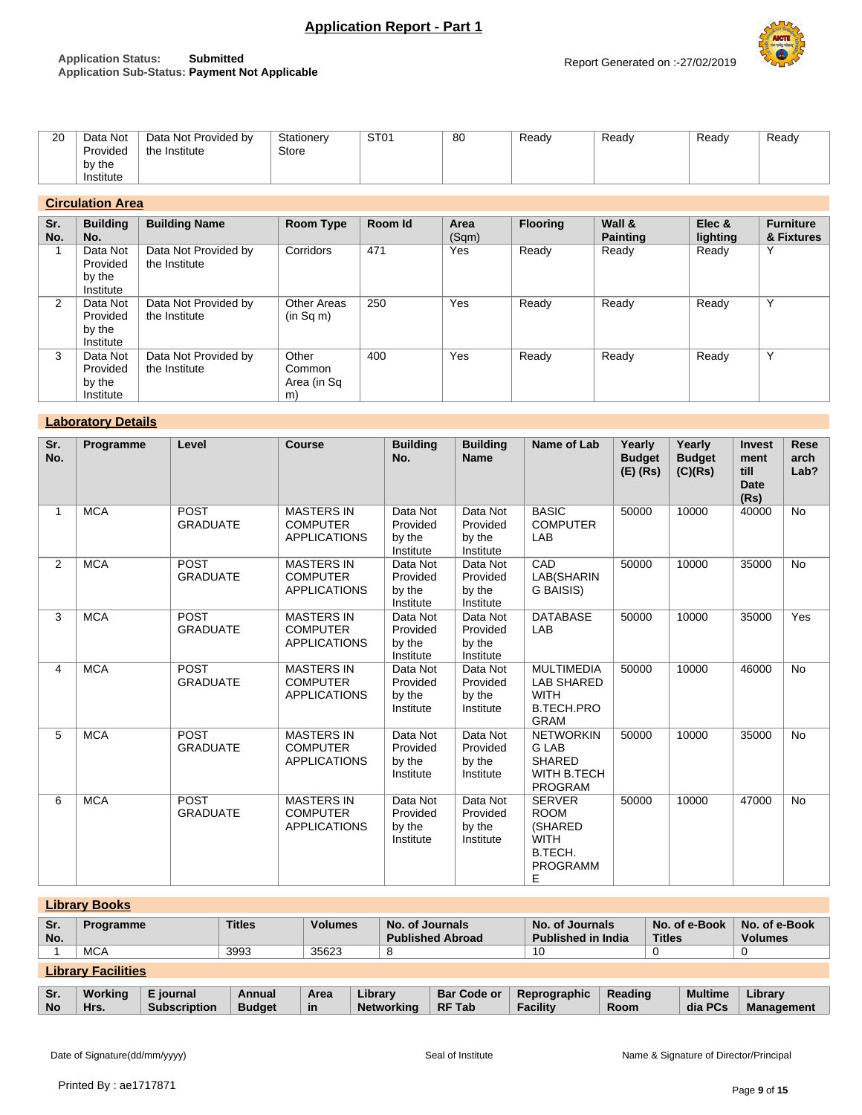

## **Application Status: Submitted Application Sub-Status: Payment Not Applicable**

# **Circulation Area**

| Sr.<br>No.     | <b>Building</b><br>No.                      | <b>Building Name</b>                  | Room Type                            | Room Id | Area<br>(Sqm) | <b>Flooring</b> | Wall &<br><b>Painting</b> | Elec &<br>lighting | <b>Furniture</b><br>& Fixtures |
|----------------|---------------------------------------------|---------------------------------------|--------------------------------------|---------|---------------|-----------------|---------------------------|--------------------|--------------------------------|
|                | Data Not<br>Provided<br>by the<br>Institute | Data Not Provided by<br>the Institute | Corridors                            | 471     | Yes           | Ready           | Ready                     | Ready              | $\checkmark$                   |
| $\overline{2}$ | Data Not<br>Provided<br>by the<br>Institute | Data Not Provided by<br>the Institute | Other Areas<br>(in Sq m)             | 250     | Yes           | Ready           | Ready                     | Ready              | $\checkmark$                   |
| 3              | Data Not<br>Provided<br>by the<br>Institute | Data Not Provided by<br>the Institute | Other<br>Common<br>Area (in Sq<br>m) | 400     | Yes           | Ready           | Ready                     | Ready              | $\checkmark$                   |

## **Laboratory Details**

| Sr.<br>No. | Programme  | Level                          | <b>Course</b>                                               | <b>Building</b><br>No.                      | <b>Building</b><br><b>Name</b>              | Name of Lab                                                                               | Yearly<br><b>Budget</b><br>$(E)$ (Rs) | Yearly<br><b>Budget</b><br>(C)(Rs) | <b>Invest</b><br>ment<br>till<br><b>Date</b><br>(Rs) | <b>Rese</b><br>arch<br>Lab? |
|------------|------------|--------------------------------|-------------------------------------------------------------|---------------------------------------------|---------------------------------------------|-------------------------------------------------------------------------------------------|---------------------------------------|------------------------------------|------------------------------------------------------|-----------------------------|
|            | <b>MCA</b> | POST<br><b>GRADUATE</b>        | <b>MASTERS IN</b><br><b>COMPUTER</b><br><b>APPLICATIONS</b> | Data Not<br>Provided<br>by the<br>Institute | Data Not<br>Provided<br>by the<br>Institute | <b>BASIC</b><br><b>COMPUTER</b><br>LAB                                                    | 50000                                 | 10000                              | 40000                                                | <b>No</b>                   |
| 2          | <b>MCA</b> | POST<br><b>GRADUATE</b>        | <b>MASTERS IN</b><br><b>COMPUTER</b><br><b>APPLICATIONS</b> | Data Not<br>Provided<br>by the<br>Institute | Data Not<br>Provided<br>by the<br>Institute | CAD<br>LAB(SHARIN<br>G BAISIS)                                                            | 50000                                 | 10000                              | 35000                                                | <b>No</b>                   |
| 3          | <b>MCA</b> | <b>POST</b><br><b>GRADUATE</b> | <b>MASTERS IN</b><br><b>COMPUTER</b><br><b>APPLICATIONS</b> | Data Not<br>Provided<br>by the<br>Institute | Data Not<br>Provided<br>by the<br>Institute | <b>DATABASE</b><br>LAB                                                                    | 50000                                 | 10000                              | 35000                                                | Yes                         |
| 4          | <b>MCA</b> | POST<br><b>GRADUATE</b>        | <b>MASTERS IN</b><br><b>COMPUTER</b><br><b>APPLICATIONS</b> | Data Not<br>Provided<br>by the<br>Institute | Data Not<br>Provided<br>by the<br>Institute | <b>MULTIMEDIA</b><br><b>LAB SHARED</b><br><b>WITH</b><br><b>B.TECH.PRO</b><br><b>GRAM</b> | 50000                                 | 10000                              | 46000                                                | <b>No</b>                   |
| 5          | <b>MCA</b> | <b>POST</b><br><b>GRADUATE</b> | <b>MASTERS IN</b><br><b>COMPUTER</b><br><b>APPLICATIONS</b> | Data Not<br>Provided<br>by the<br>Institute | Data Not<br>Provided<br>by the<br>Institute | <b>NETWORKIN</b><br><b>GLAB</b><br><b>SHARED</b><br>WITH B.TECH<br><b>PROGRAM</b>         | 50000                                 | 10000                              | 35000                                                | <b>No</b>                   |
| 6          | <b>MCA</b> | POST<br><b>GRADUATE</b>        | <b>MASTERS IN</b><br><b>COMPUTER</b><br><b>APPLICATIONS</b> | Data Not<br>Provided<br>by the<br>Institute | Data Not<br>Provided<br>by the<br>Institute | <b>SERVER</b><br><b>ROOM</b><br>(SHARED<br><b>WITH</b><br>B.TECH.<br><b>PROGRAMM</b><br>Е | 50000                                 | 10000                              | 47000                                                | No                          |

| <b>Library Books</b> |                                   |                                  |                         |                |                                            |                                     |                                 |                 |  |                           |                              |
|----------------------|-----------------------------------|----------------------------------|-------------------------|----------------|--------------------------------------------|-------------------------------------|---------------------------------|-----------------|--|---------------------------|------------------------------|
| Sr.                  | <b>Titles</b><br><b>Programme</b> |                                  |                         | <b>Volumes</b> |                                            | No. of Journals<br>No. of Journals  |                                 |                 |  | No. of e-Book             | No. of e-Book                |
| No.                  |                                   | <b>Published Abroad</b>          |                         |                | <b>Titles</b><br><b>Published in India</b> |                                     |                                 | <b>Volumes</b>  |  |                           |                              |
|                      | <b>MCA</b>                        |                                  | 3993                    | 35623          | 8                                          |                                     | 10                              |                 |  |                           |                              |
|                      | <b>Library Facilities</b>         |                                  |                         |                |                                            |                                     |                                 |                 |  |                           |                              |
| Sr.<br><b>No</b>     | Working<br>Hrs.                   | E journal<br><b>Subscription</b> | Annual<br><b>Budget</b> | Area<br>in     | Library<br><b>Networking</b>               | <b>Bar Code or</b><br><b>RF Tab</b> | Reprographic<br><b>Facility</b> | Reading<br>Room |  | <b>Multime</b><br>dia PCs | Library<br><b>Management</b> |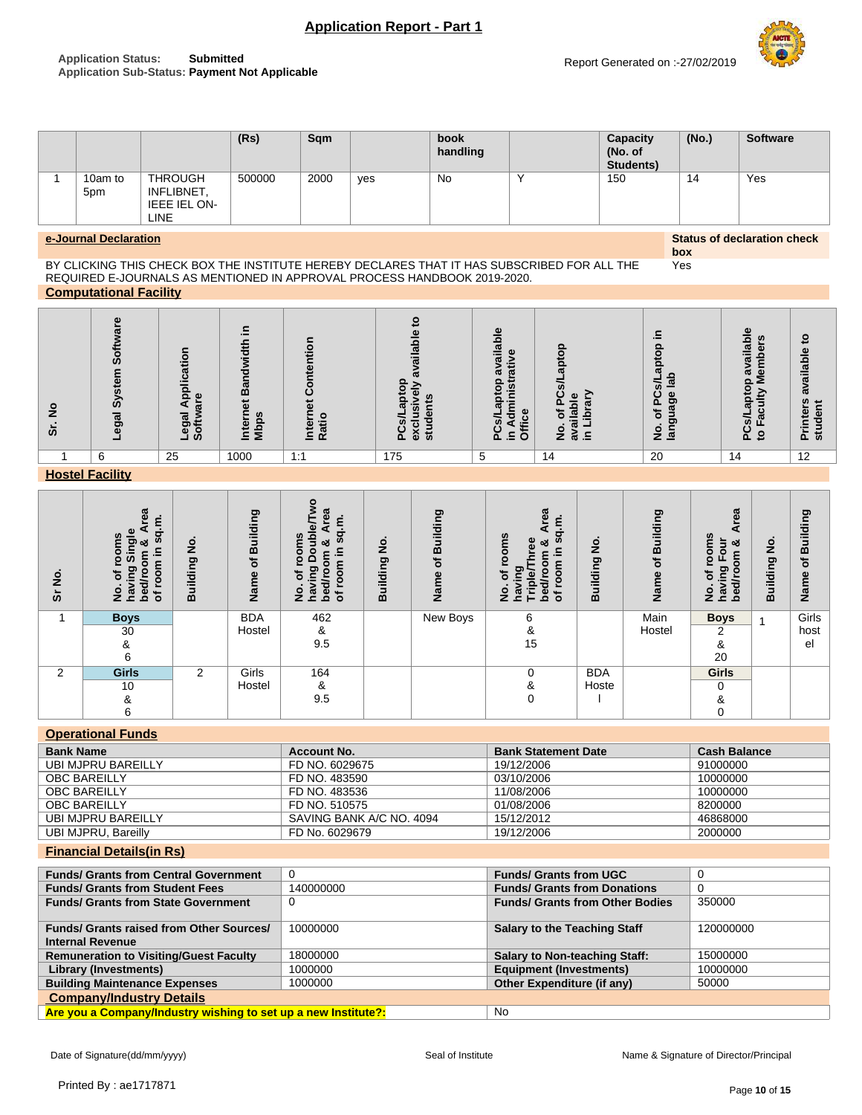### **Application Status: Submitted Application Sub-Status: Payment Not Applicable**



**(Rs) Sqm book handling Capacity (No. of Students) (No.) Software**  $1$  10am to 5pm **THROUGH** INFLIBNET, IEEE IEL ON-LINE 500000 2000 yes No Y 150 14 Yes

**e-Journal Declaration Status of declaration check box**

Yes

```
BY CLICKING THIS CHECK BOX THE INSTITUTE HEREBY DECLARES THAT IT HAS SUBSCRIBED FOR ALL THE 
REQUIRED E-JOURNALS AS MENTIONED IN APPROVAL PROCESS HANDBOOK 2019-2020.
Computational Facility
```

| $\circ$<br>z<br>൭ | ທ<br>ທ<br>န္တ | licai<br>$\Omega$<br>ω<br>ಕ<br>$\overline{g}$<br>ω<br>О<br><b>SO</b><br>ᆜ | m<br>ō<br>흐흐 | ā   | $\sim$<br>⌒<br>൹<br>Ē<br>ō,<br>൨ | $\omega$<br>$\overline{O}$<br>富<br>с<br>ffice<br>.⊆.<br>൨<br>O | Ω<br>C<br>ᠭᠣ<br>ω<br>$\Omega$<br>o<br>$\geq$ $\approx$ $\leq$ | 크.<br>o<br>$\circ$<br>ō<br>त्व<br>.c<br>π<br>ပ<br>ჭ<br>$\mathbf{a}$<br>w<br>৳<br>-<br>m<br>$\frac{5}{5}$ $\frac{5}{5}$ | ω<br>ທ<br>ο<br>ᠭᠣ<br>ω<br>௳ | ₽<br>available<br>だ<br>ē<br>$\overline{\mathbf{e}}$<br>ਹ<br>. .<br>ত<br>$\sim$ |
|-------------------|---------------|---------------------------------------------------------------------------|--------------|-----|----------------------------------|----------------------------------------------------------------|---------------------------------------------------------------|------------------------------------------------------------------------------------------------------------------------|-----------------------------|--------------------------------------------------------------------------------|
|                   | 6             | 25                                                                        | 1000         | 1:1 | 175                              | 5                                                              | 14                                                            | 20                                                                                                                     | 14                          | 12                                                                             |

## **Hostel Facility**

| $\dot{z}$<br>ທັ | 6a<br>ਠ<br>oms<br>ত প<br>크.<br>Õ<br>5<br>ත<br>bed/ro<br>ā<br>ğ<br>ہ<br>2<br><b>e</b><br>৳ | $\frac{1}{2}$<br>Building | Building<br>đ<br>Name | ۰<br>සි<br>sq.m.<br>oms<br>gu<br>య<br>⊆<br>Ο<br>≔<br>о<br>등<br>o<br>៊<br>ၑ<br>ਙ<br>ہ<br>2<br>ā<br>ق<br>৳ | ş<br>Building | Building<br>৳<br>ee<br>ā | <b>Area</b><br>ά.<br><b>comoo</b><br><b>in</b><br>æ<br>න්<br>으.<br>room<br>ත<br>৳<br>Tripl<br>ಕ<br>ءِ<br>z<br><b>n</b> a<br>৳<br>₫ | $\frac{1}{2}$<br>Building | of Building<br>Name | 63<br>₫<br>ឌឹ<br>≒<br>∞ర<br>$\circ$<br>$\circ$<br>g<br>c<br>ත<br>٥<br>৳<br>⊆<br>bed<br>$\mathsf{var}$<br>قع | $\frac{1}{2}$<br>uilding<br>w | Building<br>$\mathbf{r}$<br>Name |
|-----------------|-------------------------------------------------------------------------------------------|---------------------------|-----------------------|----------------------------------------------------------------------------------------------------------|---------------|--------------------------|------------------------------------------------------------------------------------------------------------------------------------|---------------------------|---------------------|-------------------------------------------------------------------------------------------------------------|-------------------------------|----------------------------------|
| 1               | <b>Boys</b><br>30                                                                         |                           | <b>BDA</b><br>Hostel  | 462<br>&                                                                                                 |               | New Boys                 | 6<br>&                                                                                                                             |                           | Main<br>Hostel      | <b>Boys</b><br>2                                                                                            | 1                             | Girls<br>host                    |
|                 | &<br>6                                                                                    |                           |                       | 9.5                                                                                                      |               |                          | 15                                                                                                                                 |                           |                     | &<br>20                                                                                                     |                               | el                               |
| 2               | <b>Girls</b>                                                                              | 2                         | Girls                 | 164                                                                                                      |               |                          | 0                                                                                                                                  | <b>BDA</b>                |                     | <b>Girls</b>                                                                                                |                               |                                  |
|                 | 10                                                                                        |                           | Hostel                | &                                                                                                        |               |                          | &                                                                                                                                  | Hoste                     |                     | $\Omega$                                                                                                    |                               |                                  |
|                 | &                                                                                         |                           |                       | 9.5                                                                                                      |               |                          | $\mathbf 0$                                                                                                                        |                           |                     | &                                                                                                           |                               |                                  |
|                 | 6                                                                                         |                           |                       |                                                                                                          |               |                          |                                                                                                                                    |                           |                     |                                                                                                             |                               |                                  |

## **Operational Funds**

| <b>Bank Name</b>    | Account No.              | <b>Bank Statement Date</b> | <b>Cash Balance</b> |
|---------------------|--------------------------|----------------------------|---------------------|
| UBI MJPRU BAREILLY  | FD NO. 6029675           | 19/12/2006                 | 91000000            |
| <b>OBC BAREILLY</b> | FD NO. 483590            | 03/10/2006                 | 10000000            |
| <b>OBC BAREILLY</b> | FD NO. 483536            | 11/08/2006                 | 10000000            |
| <b>OBC BAREILLY</b> | FD NO. 510575            | 01/08/2006                 | 8200000             |
| UBI MJPRU BAREILLY  | SAVING BANK A/C NO. 4094 | 15/12/2012                 | 46868000            |
| UBI MJPRU, Bareilly | FD No. 6029679           | 19/12/2006                 | 2000000             |

## **Financial Details(in Rs)**

| <b>Funds/ Grants from Central Government</b>                   |           | <b>Funds/ Grants from UGC</b>          | -0        |  |  |  |  |
|----------------------------------------------------------------|-----------|----------------------------------------|-----------|--|--|--|--|
| <b>Funds/ Grants from Student Fees</b>                         | 140000000 | <b>Funds/ Grants from Donations</b>    | -0        |  |  |  |  |
| <b>Funds/ Grants from State Government</b>                     |           | <b>Funds/ Grants from Other Bodies</b> | 350000    |  |  |  |  |
| <b>Funds/ Grants raised from Other Sources/</b>                | 10000000  | <b>Salary to the Teaching Staff</b>    | 120000000 |  |  |  |  |
| <b>Internal Revenue</b>                                        |           |                                        |           |  |  |  |  |
| <b>Remuneration to Visiting/Guest Faculty</b>                  | 18000000  | <b>Salary to Non-teaching Staff:</b>   | 15000000  |  |  |  |  |
| Library (Investments)                                          | 1000000   | <b>Equipment (Investments)</b>         | 10000000  |  |  |  |  |
| <b>Building Maintenance Expenses</b>                           | 1000000   | Other Expenditure (if any)             | 50000     |  |  |  |  |
| <b>Company/Industry Details</b>                                |           |                                        |           |  |  |  |  |
| Are you a Company/Industry wishing to set up a new Institute?: |           | <b>No</b>                              |           |  |  |  |  |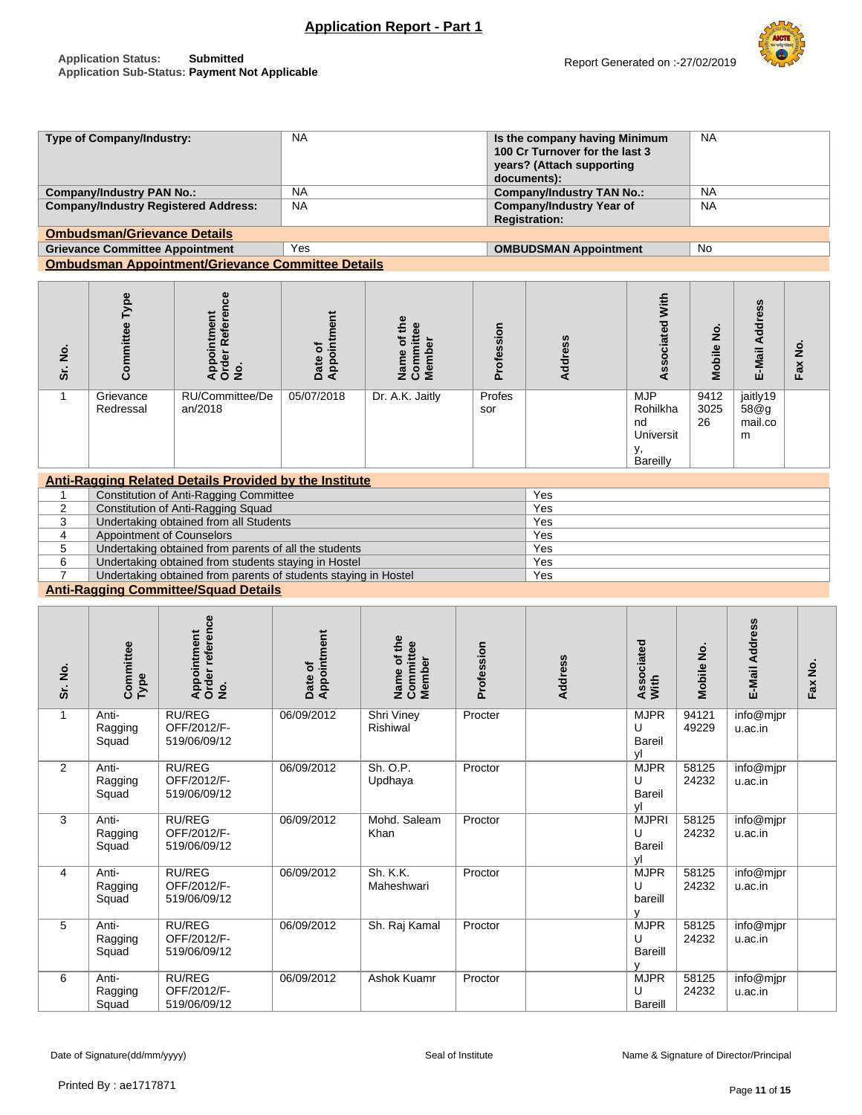**Type of Company/Industry:** NA **Is the company having Minimum** 

NA



|                |                                        |                                                                 |                        |                                           |                                                         | 100 Cr Turnover for the last 3<br>years? (Attach supporting<br>documents): |                                                             |                    |                                  |         |
|----------------|----------------------------------------|-----------------------------------------------------------------|------------------------|-------------------------------------------|---------------------------------------------------------|----------------------------------------------------------------------------|-------------------------------------------------------------|--------------------|----------------------------------|---------|
|                | <b>Company/Industry PAN No.:</b>       |                                                                 | <b>NA</b>              |                                           |                                                         | <b>Company/Industry TAN No.:</b>                                           |                                                             | <b>NA</b>          |                                  |         |
|                |                                        | <b>Company/Industry Registered Address:</b>                     | <b>NA</b>              |                                           | <b>Company/Industry Year of</b><br><b>Registration:</b> |                                                                            |                                                             | <b>NA</b>          |                                  |         |
|                | <b>Ombudsman/Grievance Details</b>     |                                                                 |                        |                                           |                                                         |                                                                            |                                                             |                    |                                  |         |
|                | <b>Grievance Committee Appointment</b> |                                                                 | Yes                    |                                           |                                                         | <b>OMBUDSMAN Appointment</b>                                               |                                                             | <b>No</b>          |                                  |         |
|                |                                        | <b>Ombudsman Appointment/Grievance Committee Details</b>        |                        |                                           |                                                         |                                                                            |                                                             |                    |                                  |         |
| Sr. No.        | Committee Type                         | Order Reference<br>No.<br>Appointment                           | Appointment<br>Date of | Name of the<br>Committee<br><b>Member</b> | Profession                                              | Address                                                                    | <b>Associated With</b>                                      | Mobile No.         | E-Mail Address                   | Fax No. |
| $\mathbf{1}$   | Grievance<br>Redressal                 | RU/Committee/De<br>an/2018                                      | 05/07/2018             | Dr. A.K. Jaitly                           | Profes<br>sor                                           |                                                                            | <b>MJP</b><br>Rohilkha<br>nd<br>Universit<br>у,<br>Bareilly | 9412<br>3025<br>26 | jaitly19<br>58@g<br>mail.co<br>m |         |
|                |                                        | <b>Anti-Ragging Related Details Provided by the Institute</b>   |                        |                                           |                                                         |                                                                            |                                                             |                    |                                  |         |
| 1              |                                        | <b>Constitution of Anti-Ragging Committee</b>                   |                        |                                           |                                                         | Yes                                                                        |                                                             |                    |                                  |         |
| $\overline{2}$ |                                        | Constitution of Anti-Ragging Squad                              |                        |                                           |                                                         | Yes                                                                        |                                                             |                    |                                  |         |
| 3              |                                        | Undertaking obtained from all Students                          |                        |                                           |                                                         | Yes                                                                        |                                                             |                    |                                  |         |
| $\overline{4}$ | <b>Appointment of Counselors</b>       |                                                                 |                        |                                           |                                                         | Yes                                                                        |                                                             |                    |                                  |         |
| 5              |                                        | Undertaking obtained from parents of all the students           |                        |                                           |                                                         | Yes                                                                        |                                                             |                    |                                  |         |
| 6              |                                        | Undertaking obtained from students staying in Hostel            |                        |                                           |                                                         | Yes                                                                        |                                                             |                    |                                  |         |
| $\overline{7}$ |                                        | Undertaking obtained from parents of students staying in Hostel |                        |                                           |                                                         | Yes                                                                        |                                                             |                    |                                  |         |
|                |                                        | <b>Anti-Ragging Committee/Squad Details</b>                     |                        |                                           |                                                         |                                                                            |                                                             |                    |                                  |         |
| Sr. No.        | Committee<br>Type                      | Order reference<br>Appointment<br>$\dot{\mathbf{z}}$            | Appointment<br>Date of | Name of the<br>Committee<br>Member        | Profession                                              | Address                                                                    | Associated<br>With                                          | Mobile No.         | E-Mail Address                   | Fax No. |

| ş<br>ŠΓ.     | Committ<br>Type           | Appoint<br>Order re<br>No.                   | Appoint<br>Date of | Name of<br>Committ<br>Member | Professi | Address | Associat<br>With                  | ∠<br>Mobile    | E-Mail A             | Fax No. |
|--------------|---------------------------|----------------------------------------------|--------------------|------------------------------|----------|---------|-----------------------------------|----------------|----------------------|---------|
| $\mathbf{1}$ | Anti-<br>Ragging<br>Squad | <b>RU/REG</b><br>OFF/2012/F-<br>519/06/09/12 | 06/09/2012         | Shri Viney<br>Rishiwal       | Procter  |         | <b>MJPR</b><br>U<br>Bareil<br>vl  | 94121<br>49229 | info@mjpr<br>u.ac.in |         |
| 2            | Anti-<br>Ragging<br>Squad | <b>RU/REG</b><br>OFF/2012/F-<br>519/06/09/12 | 06/09/2012         | Sh. O.P.<br>Updhaya          | Proctor  |         | <b>MJPR</b><br>U<br>Bareil<br>vl  | 58125<br>24232 | info@mjpr<br>u.ac.in |         |
| 3            | Anti-<br>Ragging<br>Squad | <b>RU/REG</b><br>OFF/2012/F-<br>519/06/09/12 | 06/09/2012         | Mohd. Saleam<br>Khan         | Proctor  |         | <b>MJPRI</b><br>U<br>Bareil<br>vl | 58125<br>24232 | info@mjpr<br>u.ac.in |         |
| 4            | Anti-<br>Ragging<br>Squad | <b>RU/REG</b><br>OFF/2012/F-<br>519/06/09/12 | 06/09/2012         | Sh. K.K.<br>Maheshwari       | Proctor  |         | <b>MJPR</b><br>U<br>bareill       | 58125<br>24232 | info@mjpr<br>u.ac.in |         |
| 5            | Anti-<br>Ragging<br>Squad | <b>RU/REG</b><br>OFF/2012/F-<br>519/06/09/12 | 06/09/2012         | Sh. Raj Kamal                | Proctor  |         | <b>MJPR</b><br>U<br>Bareill       | 58125<br>24232 | info@mjpr<br>u.ac.in |         |
| 6            | Anti-<br>Ragging<br>Squad | <b>RU/REG</b><br>OFF/2012/F-<br>519/06/09/12 | 06/09/2012         | Ashok Kuamr                  | Proctor  |         | <b>MJPR</b><br>U<br>Bareill       | 58125<br>24232 | info@mjpr<br>u.ac.in |         |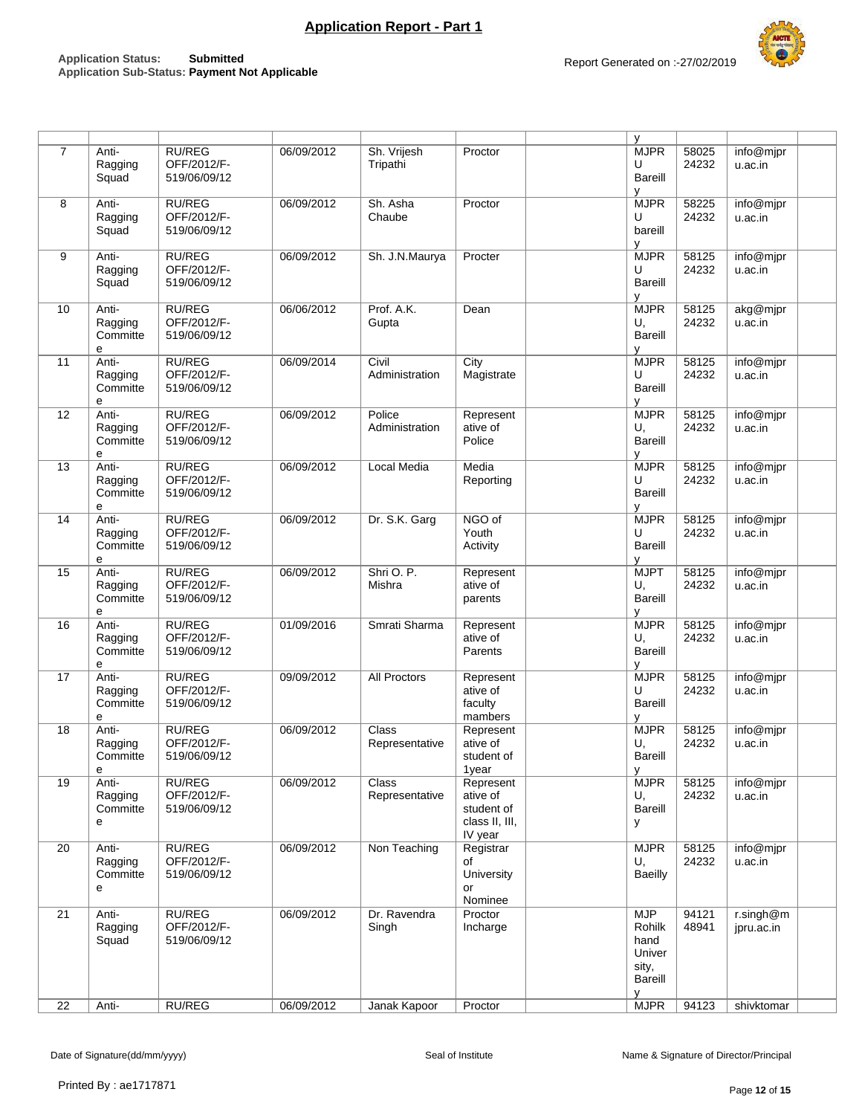| $\overline{7}$ | Anti-<br>Ragging<br>Squad         | <b>RU/REG</b><br>OFF/2012/F-<br>519/06/09/12 | 06/09/2012 | Sh. Vrijesh<br>Tripathi        | Proctor                                                          | y<br><b>MJPR</b><br>U<br>Bareill<br>v                                  | 58025<br>24232 | info@mjpr<br>u.ac.in            |
|----------------|-----------------------------------|----------------------------------------------|------------|--------------------------------|------------------------------------------------------------------|------------------------------------------------------------------------|----------------|---------------------------------|
| 8              | Anti-<br>Ragging<br>Squad         | <b>RU/REG</b><br>OFF/2012/F-<br>519/06/09/12 | 06/09/2012 | Sh. Asha<br>Chaube             | Proctor                                                          | <b>MJPR</b><br>U<br>bareill<br>y                                       | 58225<br>24232 | info@mjpr<br>u.ac.in            |
| 9              | Anti-<br>Ragging<br>Squad         | <b>RU/REG</b><br>OFF/2012/F-<br>519/06/09/12 | 06/09/2012 | Sh. J.N.Maurya                 | Procter                                                          | <b>MJPR</b><br>U<br>Bareill<br>٧                                       | 58125<br>24232 | info@mjpr<br>u.ac.in            |
| 10             | Anti-<br>Ragging<br>Committe<br>e | <b>RU/REG</b><br>OFF/2012/F-<br>519/06/09/12 | 06/06/2012 | Prof. A.K.<br>Gupta            | Dean                                                             | <b>MJPR</b><br>U,<br><b>Bareill</b><br>У                               | 58125<br>24232 | akg@mjpr<br>u.ac.in             |
| 11             | Anti-<br>Ragging<br>Committe<br>e | <b>RU/REG</b><br>OFF/2012/F-<br>519/06/09/12 | 06/09/2014 | Civil<br>Administration        | City<br>Magistrate                                               | <b>MJPR</b><br>U<br>Bareill<br>y                                       | 58125<br>24232 | info@mjpr<br>u.ac.in            |
| 12             | Anti-<br>Ragging<br>Committe<br>e | <b>RU/REG</b><br>OFF/2012/F-<br>519/06/09/12 | 06/09/2012 | Police<br>Administration       | Represent<br>ative of<br>Police                                  | <b>MJPR</b><br>U,<br>Bareill<br>V                                      | 58125<br>24232 | info@mjpr<br>u.ac.in            |
| 13             | Anti-<br>Ragging<br>Committe<br>e | <b>RU/REG</b><br>OFF/2012/F-<br>519/06/09/12 | 06/09/2012 | Local Media                    | Media<br>Reporting                                               | <b>MJPR</b><br>U<br>Bareill<br>y                                       | 58125<br>24232 | info@mjpr<br>u.ac.in            |
| 14             | Anti-<br>Ragging<br>Committe<br>е | <b>RU/REG</b><br>OFF/2012/F-<br>519/06/09/12 | 06/09/2012 | Dr. S.K. Garg                  | NGO of<br>Youth<br>Activity                                      | <b>MJPR</b><br>U<br>Bareill<br>۷                                       | 58125<br>24232 | info@mjpr<br>u.ac.in            |
| 15             | Anti-<br>Ragging<br>Committe<br>e | <b>RU/REG</b><br>OFF/2012/F-<br>519/06/09/12 | 06/09/2012 | Shri O. P.<br>Mishra           | Represent<br>ative of<br>parents                                 | <b>MJPT</b><br>U,<br>Bareill<br>v                                      | 58125<br>24232 | info@mjpr<br>u.ac.in            |
| 16             | Anti-<br>Ragging<br>Committe<br>e | <b>RU/REG</b><br>OFF/2012/F-<br>519/06/09/12 | 01/09/2016 | Smrati Sharma                  | Represent<br>ative of<br>Parents                                 | <b>MJPR</b><br>U,<br>Bareill<br>v                                      | 58125<br>24232 | info@mjpr<br>u.ac.in            |
| 17             | Anti-<br>Ragging<br>Committe<br>e | <b>RU/REG</b><br>OFF/2012/F-<br>519/06/09/12 | 09/09/2012 | All Proctors                   | Represent<br>ative of<br>faculty<br>mambers                      | <b>MJPR</b><br>U<br>Bareill<br>v                                       | 58125<br>24232 | info@mjpr<br>u.ac.in            |
| 18             | Anti-<br>Ragging<br>Committe<br>e | <b>RU/REG</b><br>OFF/2012/F-<br>519/06/09/12 | 06/09/2012 | Class<br>Representative        | Represent<br>ative of<br>student of<br>1year                     | <b>MJPR</b><br>U.<br>Bareill<br>y                                      | 58125<br>24232 | info@mjpr<br>u.ac.in            |
| 19             | Anti-<br>Ragging<br>Committe<br>e | <b>RU/REG</b><br>OFF/2012/F-<br>519/06/09/12 | 06/09/2012 | <b>Class</b><br>Representative | Represent<br>ative of<br>student of<br>class II, III,<br>IV year | <b>MJPR</b><br>U,<br>Bareill<br>У                                      | 58125<br>24232 | info@mjpr<br>u.ac.in            |
| 20             | Anti-<br>Ragging<br>Committe<br>e | <b>RU/REG</b><br>OFF/2012/F-<br>519/06/09/12 | 06/09/2012 | Non Teaching                   | Registrar<br>of<br>University<br>or<br>Nominee                   | <b>MJPR</b><br>U,<br><b>Baeilly</b>                                    | 58125<br>24232 | info@mjpr<br>u.ac.in            |
| 21             | Anti-<br>Ragging<br>Squad         | <b>RU/REG</b><br>OFF/2012/F-<br>519/06/09/12 | 06/09/2012 | Dr. Ravendra<br>Singh          | Proctor<br>Incharge                                              | <b>MJP</b><br>Rohilk<br>hand<br>Univer<br>sity,<br><b>Bareill</b><br>У | 94121<br>48941 | $r.\n$ singh $@m$<br>jpru.ac.in |
| 22             | Anti-                             | <b>RU/REG</b>                                | 06/09/2012 | Janak Kapoor                   | Proctor                                                          | <b>MJPR</b>                                                            | 94123          | shivktomar                      |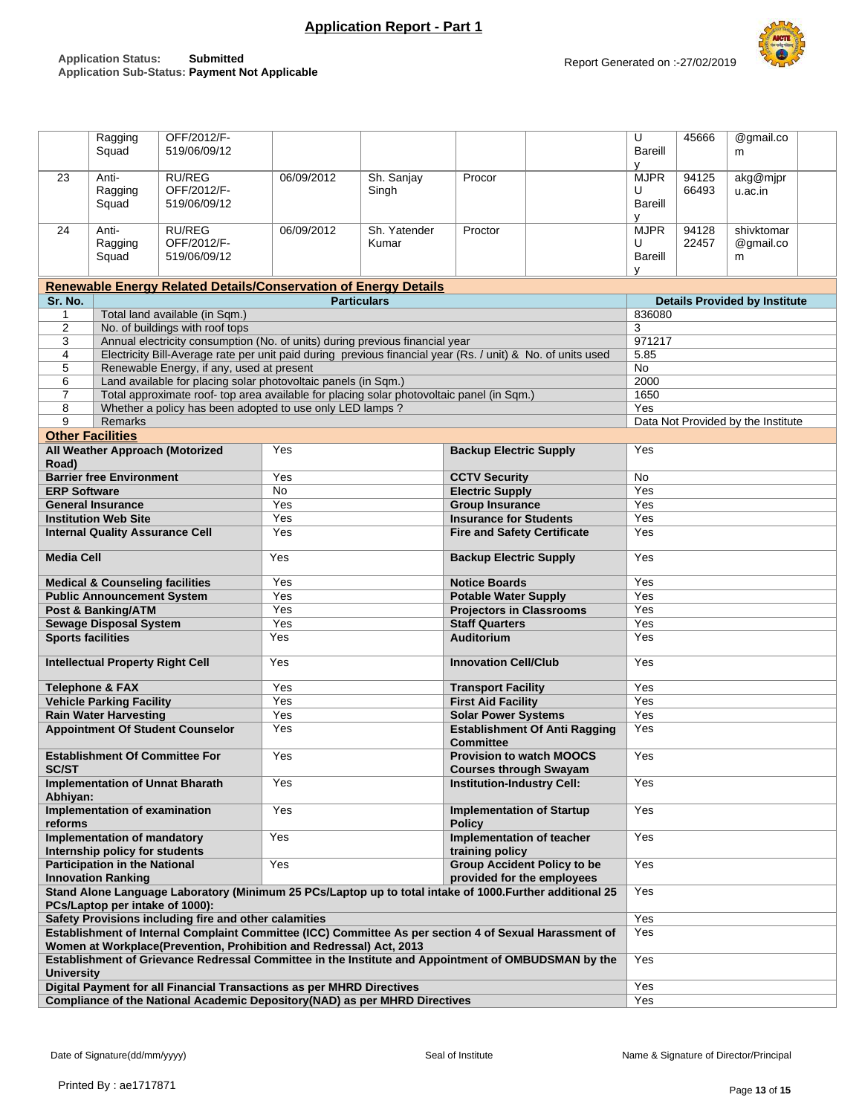

|                                                                                                                                                                 | Ragging                                                                                                                                      | OFF/2012/F-                                                                                                                                              |            |              |                                      |                                 | U           | 45666                                | @gmail.co                          |  |  |  |  |
|-----------------------------------------------------------------------------------------------------------------------------------------------------------------|----------------------------------------------------------------------------------------------------------------------------------------------|----------------------------------------------------------------------------------------------------------------------------------------------------------|------------|--------------|--------------------------------------|---------------------------------|-------------|--------------------------------------|------------------------------------|--|--|--|--|
|                                                                                                                                                                 | Squad                                                                                                                                        | 519/06/09/12                                                                                                                                             |            |              |                                      |                                 | Bareill     |                                      | m                                  |  |  |  |  |
|                                                                                                                                                                 |                                                                                                                                              |                                                                                                                                                          |            |              |                                      |                                 | v           |                                      |                                    |  |  |  |  |
| 23                                                                                                                                                              | Anti-                                                                                                                                        | <b>RU/REG</b>                                                                                                                                            | 06/09/2012 | Sh. Sanjay   | Procor                               |                                 | <b>MJPR</b> | 94125                                | akg@mjpr                           |  |  |  |  |
|                                                                                                                                                                 | Ragging                                                                                                                                      | OFF/2012/F-                                                                                                                                              |            | Singh        |                                      |                                 | U           | 66493                                | u.ac.in                            |  |  |  |  |
|                                                                                                                                                                 | Squad                                                                                                                                        | 519/06/09/12                                                                                                                                             |            |              |                                      |                                 | Bareill     |                                      |                                    |  |  |  |  |
|                                                                                                                                                                 |                                                                                                                                              |                                                                                                                                                          |            |              |                                      |                                 | v           |                                      |                                    |  |  |  |  |
| 24                                                                                                                                                              | Anti-                                                                                                                                        | <b>RU/REG</b>                                                                                                                                            | 06/09/2012 | Sh. Yatender | Proctor                              |                                 | <b>MJPR</b> | 94128                                | shivktomar                         |  |  |  |  |
|                                                                                                                                                                 | Ragging                                                                                                                                      | OFF/2012/F-                                                                                                                                              |            | Kumar        |                                      |                                 | U           | 22457                                | @gmail.co                          |  |  |  |  |
|                                                                                                                                                                 | Squad                                                                                                                                        | 519/06/09/12                                                                                                                                             |            |              |                                      |                                 | Bareill     |                                      | m                                  |  |  |  |  |
|                                                                                                                                                                 |                                                                                                                                              |                                                                                                                                                          |            |              |                                      |                                 | y           |                                      |                                    |  |  |  |  |
|                                                                                                                                                                 |                                                                                                                                              | <b>Renewable Energy Related Details/Conservation of Energy Details</b>                                                                                   |            |              |                                      |                                 |             |                                      |                                    |  |  |  |  |
| Sr. No.                                                                                                                                                         | <b>Particulars</b>                                                                                                                           |                                                                                                                                                          |            |              |                                      |                                 |             | <b>Details Provided by Institute</b> |                                    |  |  |  |  |
| $\mathbf{1}$                                                                                                                                                    |                                                                                                                                              | Total land available (in Sqm.)                                                                                                                           |            |              |                                      |                                 | 836080      |                                      |                                    |  |  |  |  |
| $\overline{2}$                                                                                                                                                  |                                                                                                                                              | No. of buildings with roof tops                                                                                                                          |            |              |                                      |                                 | 3           |                                      |                                    |  |  |  |  |
| 3                                                                                                                                                               |                                                                                                                                              | Annual electricity consumption (No. of units) during previous financial year                                                                             |            |              |                                      |                                 | 971217      |                                      |                                    |  |  |  |  |
| 4<br>5                                                                                                                                                          |                                                                                                                                              | Electricity Bill-Average rate per unit paid during previous financial year (Rs. / unit) & No. of units used<br>Renewable Energy, if any, used at present |            |              |                                      |                                 | 5.85<br>No  |                                      |                                    |  |  |  |  |
| 6                                                                                                                                                               |                                                                                                                                              | Land available for placing solar photovoltaic panels (in Sqm.)                                                                                           |            |              |                                      |                                 | 2000        |                                      |                                    |  |  |  |  |
| $\overline{7}$                                                                                                                                                  |                                                                                                                                              | Total approximate roof- top area available for placing solar photovoltaic panel (in Sqm.)                                                                |            |              |                                      |                                 | 1650        |                                      |                                    |  |  |  |  |
| 8                                                                                                                                                               |                                                                                                                                              | Whether a policy has been adopted to use only LED lamps?                                                                                                 |            |              |                                      |                                 | Yes         |                                      |                                    |  |  |  |  |
| 9                                                                                                                                                               | <b>Remarks</b>                                                                                                                               |                                                                                                                                                          |            |              |                                      |                                 |             |                                      | Data Not Provided by the Institute |  |  |  |  |
|                                                                                                                                                                 | <b>Other Facilities</b>                                                                                                                      |                                                                                                                                                          |            |              |                                      |                                 |             |                                      |                                    |  |  |  |  |
|                                                                                                                                                                 |                                                                                                                                              | All Weather Approach (Motorized                                                                                                                          | Yes        |              | <b>Backup Electric Supply</b>        |                                 | Yes         |                                      |                                    |  |  |  |  |
| Road)                                                                                                                                                           |                                                                                                                                              |                                                                                                                                                          |            |              |                                      |                                 |             |                                      |                                    |  |  |  |  |
|                                                                                                                                                                 | <b>Barrier free Environment</b>                                                                                                              |                                                                                                                                                          | Yes        |              | <b>CCTV Security</b>                 |                                 | No          |                                      |                                    |  |  |  |  |
| <b>ERP Software</b>                                                                                                                                             |                                                                                                                                              |                                                                                                                                                          | <b>No</b>  |              | <b>Electric Supply</b>               |                                 | Yes         |                                      |                                    |  |  |  |  |
|                                                                                                                                                                 | <b>General Insurance</b>                                                                                                                     |                                                                                                                                                          | Yes        |              | <b>Group Insurance</b>               |                                 | Yes         |                                      |                                    |  |  |  |  |
|                                                                                                                                                                 | <b>Institution Web Site</b>                                                                                                                  |                                                                                                                                                          | Yes        |              | <b>Insurance for Students</b>        |                                 | Yes         |                                      |                                    |  |  |  |  |
|                                                                                                                                                                 | <b>Internal Quality Assurance Cell</b>                                                                                                       |                                                                                                                                                          | Yes        |              | <b>Fire and Safety Certificate</b>   |                                 | Yes         |                                      |                                    |  |  |  |  |
|                                                                                                                                                                 |                                                                                                                                              |                                                                                                                                                          |            |              |                                      |                                 |             |                                      |                                    |  |  |  |  |
| <b>Media Cell</b>                                                                                                                                               |                                                                                                                                              |                                                                                                                                                          | Yes        |              | <b>Backup Electric Supply</b>        |                                 | Yes         |                                      |                                    |  |  |  |  |
|                                                                                                                                                                 |                                                                                                                                              |                                                                                                                                                          |            |              |                                      |                                 |             |                                      |                                    |  |  |  |  |
|                                                                                                                                                                 | <b>Medical &amp; Counseling facilities</b>                                                                                                   |                                                                                                                                                          | Yes        |              | <b>Notice Boards</b>                 |                                 | Yes         |                                      |                                    |  |  |  |  |
|                                                                                                                                                                 | <b>Public Announcement System</b>                                                                                                            |                                                                                                                                                          | Yes        |              | <b>Potable Water Supply</b>          |                                 | Yes         |                                      |                                    |  |  |  |  |
|                                                                                                                                                                 | Post & Banking/ATM                                                                                                                           |                                                                                                                                                          | Yes        |              | <b>Projectors in Classrooms</b>      |                                 | Yes         |                                      |                                    |  |  |  |  |
|                                                                                                                                                                 | <b>Sewage Disposal System</b>                                                                                                                |                                                                                                                                                          | Yes        |              | <b>Staff Quarters</b>                |                                 | Yes         |                                      |                                    |  |  |  |  |
|                                                                                                                                                                 | <b>Sports facilities</b>                                                                                                                     |                                                                                                                                                          | Yes        |              | <b>Auditorium</b>                    |                                 | Yes         |                                      |                                    |  |  |  |  |
|                                                                                                                                                                 | <b>Intellectual Property Right Cell</b>                                                                                                      |                                                                                                                                                          | Yes        |              | <b>Innovation Cell/Club</b>          |                                 | Yes         |                                      |                                    |  |  |  |  |
|                                                                                                                                                                 |                                                                                                                                              |                                                                                                                                                          |            |              |                                      |                                 |             |                                      |                                    |  |  |  |  |
|                                                                                                                                                                 | <b>Telephone &amp; FAX</b>                                                                                                                   |                                                                                                                                                          | Yes        |              | <b>Transport Facility</b>            |                                 | Yes         |                                      |                                    |  |  |  |  |
|                                                                                                                                                                 | <b>Vehicle Parking Facility</b>                                                                                                              |                                                                                                                                                          | Yes        |              | <b>First Aid Facility</b>            |                                 | Yes         |                                      |                                    |  |  |  |  |
|                                                                                                                                                                 | <b>Rain Water Harvesting</b>                                                                                                                 |                                                                                                                                                          | Yes        |              | <b>Solar Power Systems</b>           | Yes                             |             |                                      |                                    |  |  |  |  |
|                                                                                                                                                                 |                                                                                                                                              | <b>Appointment Of Student Counselor</b>                                                                                                                  | Yes        |              | <b>Establishment Of Anti Ragging</b> |                                 |             |                                      |                                    |  |  |  |  |
|                                                                                                                                                                 |                                                                                                                                              |                                                                                                                                                          |            |              | <b>Committee</b>                     |                                 |             |                                      |                                    |  |  |  |  |
|                                                                                                                                                                 | <b>Establishment Of Committee For</b>                                                                                                        |                                                                                                                                                          | Yes        |              |                                      | <b>Provision to watch MOOCS</b> | Yes         |                                      |                                    |  |  |  |  |
| <b>SC/ST</b>                                                                                                                                                    |                                                                                                                                              |                                                                                                                                                          |            |              | <b>Courses through Swayam</b>        |                                 |             |                                      |                                    |  |  |  |  |
|                                                                                                                                                                 |                                                                                                                                              | <b>Implementation of Unnat Bharath</b>                                                                                                                   | Yes        |              | <b>Institution-Industry Cell:</b>    |                                 | Yes         |                                      |                                    |  |  |  |  |
| Abhiyan:                                                                                                                                                        |                                                                                                                                              |                                                                                                                                                          |            |              |                                      |                                 |             |                                      |                                    |  |  |  |  |
|                                                                                                                                                                 | Implementation of examination                                                                                                                |                                                                                                                                                          | Yes        |              | <b>Implementation of Startup</b>     |                                 | Yes         |                                      |                                    |  |  |  |  |
| reforms                                                                                                                                                         |                                                                                                                                              |                                                                                                                                                          |            |              | <b>Policy</b>                        |                                 |             |                                      |                                    |  |  |  |  |
|                                                                                                                                                                 | Implementation of mandatory                                                                                                                  |                                                                                                                                                          | Yes        |              | Implementation of teacher            |                                 | Yes         |                                      |                                    |  |  |  |  |
|                                                                                                                                                                 | Internship policy for students                                                                                                               |                                                                                                                                                          |            |              | training policy                      |                                 | Yes         |                                      |                                    |  |  |  |  |
|                                                                                                                                                                 | <b>Participation in the National</b><br>Yes<br><b>Group Accident Policy to be</b><br><b>Innovation Ranking</b><br>provided for the employees |                                                                                                                                                          |            |              |                                      |                                 |             |                                      |                                    |  |  |  |  |
|                                                                                                                                                                 |                                                                                                                                              |                                                                                                                                                          |            |              |                                      |                                 |             |                                      |                                    |  |  |  |  |
| Stand Alone Language Laboratory (Minimum 25 PCs/Laptop up to total intake of 1000. Further additional 25                                                        |                                                                                                                                              |                                                                                                                                                          |            |              |                                      |                                 | Yes         |                                      |                                    |  |  |  |  |
| PCs/Laptop per intake of 1000):                                                                                                                                 |                                                                                                                                              |                                                                                                                                                          |            |              |                                      |                                 | Yes         |                                      |                                    |  |  |  |  |
| Safety Provisions including fire and other calamities<br>Establishment of Internal Complaint Committee (ICC) Committee As per section 4 of Sexual Harassment of |                                                                                                                                              |                                                                                                                                                          |            |              |                                      |                                 | Yes         |                                      |                                    |  |  |  |  |
|                                                                                                                                                                 |                                                                                                                                              | Women at Workplace(Prevention, Prohibition and Redressal) Act, 2013                                                                                      |            |              |                                      |                                 |             |                                      |                                    |  |  |  |  |
|                                                                                                                                                                 |                                                                                                                                              | Establishment of Grievance Redressal Committee in the Institute and Appointment of OMBUDSMAN by the                                                      |            |              |                                      |                                 | Yes         |                                      |                                    |  |  |  |  |
| <b>University</b>                                                                                                                                               |                                                                                                                                              |                                                                                                                                                          |            |              |                                      |                                 |             |                                      |                                    |  |  |  |  |
|                                                                                                                                                                 |                                                                                                                                              | Digital Payment for all Financial Transactions as per MHRD Directives                                                                                    |            |              |                                      |                                 | Yes         |                                      |                                    |  |  |  |  |
|                                                                                                                                                                 |                                                                                                                                              | Compliance of the National Academic Depository (NAD) as per MHRD Directives                                                                              |            |              |                                      |                                 | Yes         |                                      |                                    |  |  |  |  |
|                                                                                                                                                                 |                                                                                                                                              |                                                                                                                                                          |            |              |                                      |                                 |             |                                      |                                    |  |  |  |  |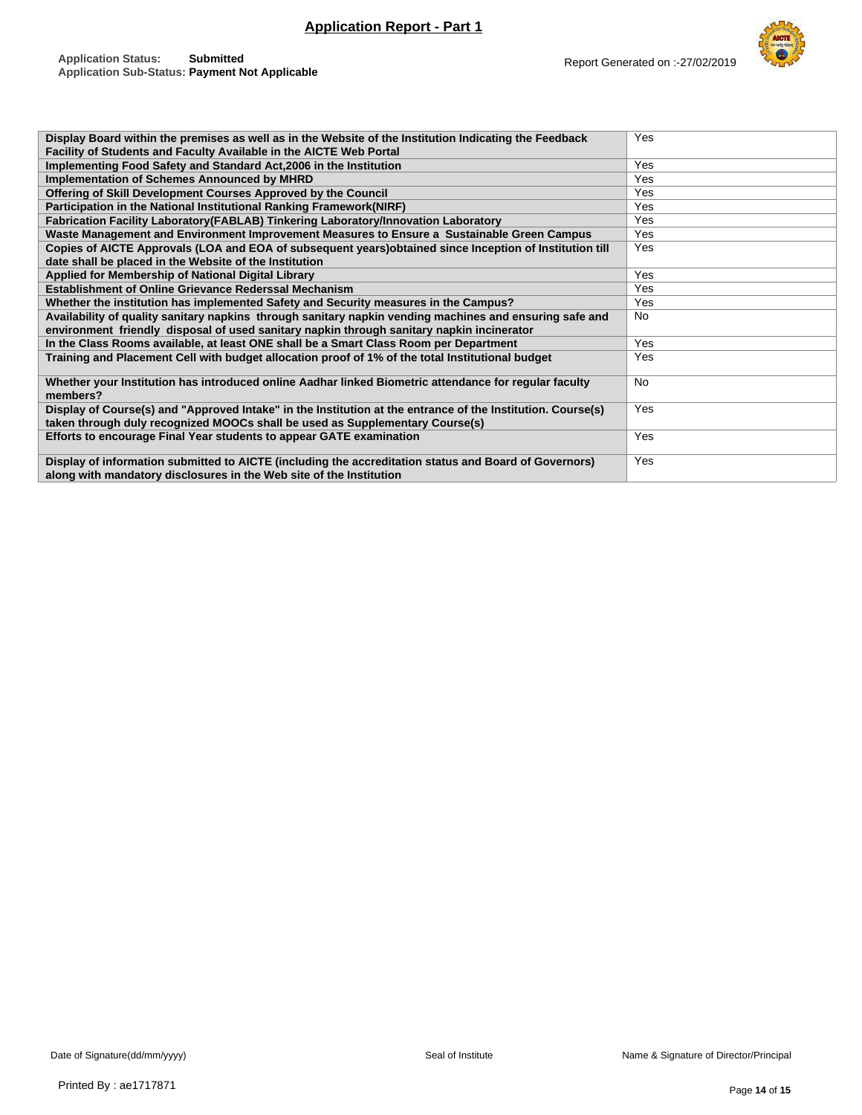

| Display Board within the premises as well as in the Website of the Institution Indicating the Feedback      | Yes        |
|-------------------------------------------------------------------------------------------------------------|------------|
| Facility of Students and Faculty Available in the AICTE Web Portal                                          |            |
| Implementing Food Safety and Standard Act, 2006 in the Institution                                          | Yes        |
| Implementation of Schemes Announced by MHRD                                                                 | Yes        |
| Offering of Skill Development Courses Approved by the Council                                               | Yes        |
| Participation in the National Institutional Ranking Framework(NIRF)                                         | Yes        |
| Fabrication Facility Laboratory (FABLAB) Tinkering Laboratory/Innovation Laboratory                         | Yes        |
| Waste Management and Environment Improvement Measures to Ensure a Sustainable Green Campus                  | Yes        |
| Copies of AICTE Approvals (LOA and EOA of subsequent years) obtained since Inception of Institution till    | <b>Yes</b> |
| date shall be placed in the Website of the Institution                                                      |            |
| Applied for Membership of National Digital Library                                                          | Yes        |
| <b>Establishment of Online Grievance Rederssal Mechanism</b>                                                | Yes        |
| Whether the institution has implemented Safety and Security measures in the Campus?                         | Yes        |
| Availability of quality sanitary napkins through sanitary napkin vending machines and ensuring safe and     | <b>No</b>  |
| environment friendly disposal of used sanitary napkin through sanitary napkin incinerator                   |            |
| In the Class Rooms available, at least ONE shall be a Smart Class Room per Department                       | Yes        |
| Training and Placement Cell with budget allocation proof of 1% of the total Institutional budget            | Yes        |
| Whether your Institution has introduced online Aadhar linked Biometric attendance for regular faculty       | <b>No</b>  |
| members?                                                                                                    |            |
| Display of Course(s) and "Approved Intake" in the Institution at the entrance of the Institution. Course(s) | Yes        |
| taken through duly recognized MOOCs shall be used as Supplementary Course(s)                                |            |
| Efforts to encourage Final Year students to appear GATE examination                                         | Yes        |
|                                                                                                             |            |
| Display of information submitted to AICTE (including the accreditation status and Board of Governors)       | Yes        |
| along with mandatory disclosures in the Web site of the Institution                                         |            |